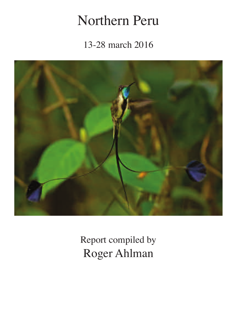# Northern Peru

13-28 march 2016



Report compiled by Roger Ahlman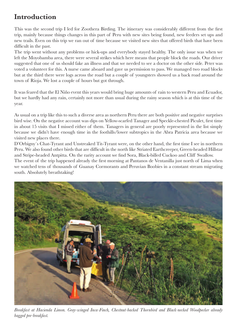# **Introduction**

This was the second trip I led for Zoothera Birding. The itinerary was considerably different from the frst trip, mainly because things changes in this part of Peru with new sites being found, new feeders set ups and new trails. Even on this trip we ran out of time because we visited new sites that offered birds that have been difficult in the past.

The trip went without any problems or hick-ups and everybody stayed healthy. The only issue was when we left the Moyobamba area, there were several strikes which here means that people block the roads. Our driver suggested that one of us should fake an illness and that we needed to see a doctor on the other side. Peter was voted a volunteer for this. A nurse came aboard and gave us permission to pass. We managed two road blocks but at the third there were logs across the road but a couple of youngsters showed us a back road around the town of Rioja. We lost a couple of hours but got through.

It was feared that the El Niño event this years would bring huge amounts of rain to western Peru and Ecuador, but we hardly had any rain, certainly not more than usual during the rainy season which is at this time of the year.

As usual on a trip like this to such a diverse area as northern Peru there are both positive and negative surprises bird wise. On the negative account was dips on Yellow-scarfed Tanager and Speckle-chested Piculet, frst time in about 15 visits that I missed either of them. Tanagers in general are poorly represented in the list simply because we didn't have enough time in the foothills/lower subtropics in the Abra Patricia area because we visited new places there.

D'Orbigny´s Chat-Tyrant and Unstreaked Tit-Tyrant were, on the other hand, the frst time I see in northern Peru. We also found other birds that are difficult in the north like Striated Earthcreeper, Green-headed Hillstar and Stripe-headed Antpitta. On the rarity account we fnd Sora, Black-billed Cuckoo and Cliff Swallow. The event of the trip happened already the frst morning at Pantanos de Ventanilla just north of Lima when we watched tens of thousands of Guanay Cormorants and Peruvian Boobies in a constant stream migrating south. Absolutely breathtaking!



*Breakfast at Hacienda Limon. Gray-winged Inca-Finch, Chestnut-backed Thornbird and Black-necked Woodpecker already bagged pre-breakfast.*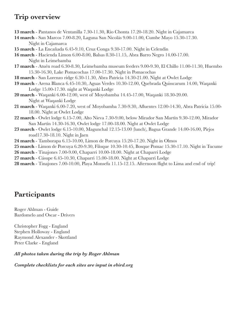## **Trip overview**

**13 march** - Pantanos de Ventanilla 7.30-11.30, Rio Chonta 17.20-18.20. Night in Cajamarca

- **14 march** San Marcos 7.00-8.20, Laguna San Nicolás 9.00-11.00, Cumbe Mayo 15.30-17.30. Night in Cajamarca
- **15 march** La Encañada 6.45-9.10, Cruz Conga 9.30-17.00. Night in Celendin
- **16 march** Hacienda Limon 6.00-8.00, Balsas 8.30-11.15, Abra Barro Negro 14.00-17.00. Night in Leimebamba
- **17 march** Atuén road 6.30-8.30, Leimebamba museum feeders 9.00-9.30, El Chillo 11.00-11.30, Huembo 15.30-16.30, Lake Pomacochas 17.00-17.30. Night in Pomacochas
- **18 march** San Lorenzo ridge 6.30-11.30, Abra Patricia 14.30-21.00. Night at Owlet Lodge
- **19 march** Arena Blanca 6.45-10.30, Aguas Verdes 10.30-12.00, Quebrada Quisscarum 14.00, Waqanki Lodge 15.00-17.30. night at Waqanki Lodge
- **20 march** Waqanki 6.00-12.00, west of Moyobamba 14.45-17.00, Waqanki 18.30-20.00. Night at Waqanki Lodge
- **21 march** Waqanki 6.00-7.20, west of Moyobamba 7.30-9.30, Afuentes 12.00-14.30, Abra Patricia 15.00- 18.00. Night at Owlet Lodge
- **22 march** Owlet lodge 6.15-7.00, Alto Nieva 7.30-9.00, below Mirador San Martín 9.30-12.00, Mirador San Martín 14.30-16.30, Owlet lodge 17.00-18.00. Night at Owlet Lodge
- **23 march** Owlet lodge 6.15-10.00, Magunchal 12.15-13.00 (lunch), Bagua Grande 14.00-16.00, Pirjos road17.30-18.10. Night in Jaen
- **24 march** Tamborapa 6.15-10.00, Limon de Porcuya 15.20-17.20. Night in Olmos
- **25 march** Limon de Porcuya 6.20-9.30, Filoque 10.30-10.45, Bosque Pomac 15.30-17.10. Night in Tucume
- **26 march** Tinajones 7.00-9.00, Chaparri 10.00-18.00. Night at Chaparri Lodge
- **27 march** Cásupe 6.45-10.30, Chaparri 15.00-18.00. Night at Chaparri Lodge
- **28 march** Tinajones 7.00-10.00, Playa Monsefu 11.15-12.15. Afternoon fight to Lima and end of trip!

# **Participants**

Roger Ahlman - Guide Bardomelo and Oscar - Drivers

Christopher Fogg - England Stephen Holloway - England Raymond Alexander - Skottland Peter Clarke - England

*All photos taken during the trip by Roger Ahlman*

*Complete checklists for each sites are input in ebird.org*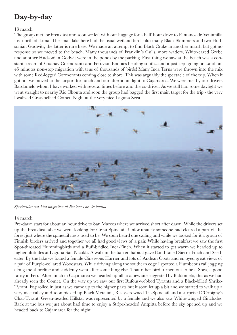# **Day-by-day**

#### 13 march

The group met for breakfast and soon we left with our luggage for a half hour drive to Pantanos de Ventanilla just north of Lima. The small lake here had the usual wetland birds plus many Black Skimmers and two Hudsonian Godwits, the latter is rare here. We made an attempt to fnd Black Crake in another marsh but got no response so we moved to the beach. Many thousands of Franklin´s Gulls, more waders, White-eared Grebe and another Hudsonian Godwit were in the ponds by the parking. First thing we saw at the beach was a constant stream of Guanay Cormorants and Peruvian Boobies heading south...and it just kept going on...and on! 45 minutes non-stop migration with tens of thousands of birds! Many Inca Terns were thrown into the mix with some Red-legged Cormorants coming close to shore. This was arguably the spectacle of the trip. When it got hot we moved to the airport for lunch and our afternoon fight to Cajamarca. We were met by our drivers Bardomelo whom I have worked with several times before and the co-driver. As we still had some daylight we went straight to nearby Rio Chonta and soon the group had bagged the frst main target for the trip - the very localized Gray-bellied Comet. Night at the very nice Laguna Seca.



*Spectacular sea-bird migration at Pantanos de Ventanilla*

#### 14 march

Pre-dawn start for about an hour drive to San Marcos where we arrived short after dawn. While the drivers set up the breakfast table we went looking for Great Spinetail. Unfortunately someone had cleared a part of the forest just where the spinetail nests used to be. We soon heard one calling and while we looked for it a group of Finnish birders arrived and together we all had good views of a pair. While having breakfast we saw the frst Spot-throated Hummingbirds and a Buff-bridled Inca-Finch. When it started to get warm we headed up to higher altitudes at Laguna San Nicolás. A walk in the barren habitat gave Band-tailed Sierra-Finch and Seedeater. By the lake we found a female Cinereous Harrier and lots of Andean Coots and enjoyed great views of a pair of Purple-collared Woodstars. While driving along the southern edge I spotted a Plumbeous rail jogging along the shoreline and suddenly went after something else. That other bird turned out to be a Sora, a good rarity in Peru! After lunch in Cajamarca we headed uphill to a new site suggested by Baldomelo, this as we had already seen the Comet. On the way up we saw our frst Rufous-webbed Tyrants and a Black-billed Shrike-Tyrant. Fog rolled in just as we came up to the higher parts but it soon let up a bit and we started to walk up a very nice valley and soon picked up Black Metaltail, Rusty-crowned Tit-Spinetail and a surprise D'Orbigny's Chat-Tyrant. Green-headed Hillstar was represented by a female and we also saw White-winged Cinclodes. Back at the bus we just about had time to enjoy a Stripe-headed Antpitta before the sky opened up and we headed back to Cajamarca for the night.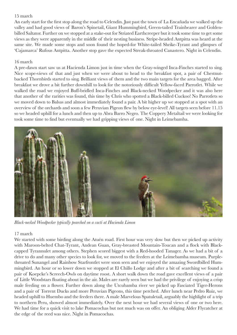#### 15 march

An early start for the frst stop along the road to Celendin. Just past the town of La Encañada we walked up the valley and had good views of Baron's Spinetail, Giant Hummingbird, Green-tailed Trainbearer and Goldenbilled Saltator. Further on we stopped at a stake-out for Striated Earthcreeper but it took some time to get some views as they were apparently in the middle of their nesting business. Stripe-headed Antpitta was heard at the same site. We made some stops and soon found the hoped-for White-tailed Shrike-Tyrant and glimpses of 'Cajamarca' Rufous Antpitta. Another stop gave the expected Streak-throated Canastero. Night in Celendin.

#### 16 march

A pre-dawn start saw us at Hacienda Limon just in time when the Gray-winged Inca-Finches started to sing. Nice scope-views of that and just when we were about to head to the breakfast spot, a pair of Chestnutbacked Thornbirds started to sing. Brilliant views of them and the two main targets for the area bagged. After breakfast we drove a bit further downhill to look for the notoriously diffcult Yellow-faced Parrotlet. While we walked the road we enjoyed Buff-bridled Inca-Finches and Black-necked Woodpecker and it was also here that another of the rarities was found, this time by Chris who spotted a Black-billed Cuckoo! No Parrotlets so we moved down to Balsas and almost immediately found a pair. A bit higher up we stopped at a spot with an overview of the orchards and soon a few Peruvian Pigeon few by below eye-level! All targets seen before 11.15 so we headed uphill for a lunch and then up to Abra Barro Negro. The Coppery Metaltail we were looking for took some time to fnd but eventually we had gripping views of one. Night in Leimebamba.



*Black-necked Woodpecker typically pearched on a cacti at Hacienda Limon*

### 17 march

We started with some birding along the Atuén road. First hour was very slow but then we picked up activity with Maroon-belted Chat-Tyrant, Andean Guan, Gray-breasted Mountain-Toucan and a fock with Blackcapped Tyrannulet among others. Stephen scored biggest with a Red-hooded Tanager. As we had a bit of a drive to do and many other species to look for, we moved to the feeders at the Leimebamba museum. Purplethroated Sunangel and Rainbow Starfrontlet were soon seen and we enjoyed the amazing Swordbilled Hummingbird. An hour or so lower down we stopped at El Chillo Lodge and after a bit of searching we found a pair of Koepcke's Screech-Owls on daytime roost. A short walk down the road gave excellent views of a pair of Little Woodstars foating about in the air. Males are rarely seen but we had the privilege of enjoying a crisp male feeding on a fower. Further down along the Utcubamba river we picked up Fasciated Tiger-Herons and a pair of Torrent Ducks and more Peruvian Pigeons, this time perched. After lunch near Pedro Ruiz, we headed uphill to Huembo and the feeders there. A male Marvelous Spatuletail, arguably the highlight of a trip to northern Peru, showed almost immediately. Over the next hour we had several views of one or two here. We had time for a quick visit to lake Pomacochas but not much was on offer. An obliging Alder Flycatcher at the edge of the reed was nice. Night in Pomacochas.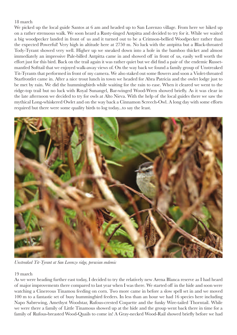#### 18 march

We picked up the local guide Santos at 6 am and headed up to San Lorenzo village. From here we hiked up on a rather strenuous walk. We soon heard a Rusty-tinged Antpitta and decided to try for it. While we waited a big woodpecker landed in front of us and it turned out to be a Crimson-bellied Woodpecker rather than the expected Powerful! Very high in altitude here at 2750 m. No luck with the antpitta but a Black-throated Tody-Tyrant showed very well. Higher up we sneaked down into a hole in the bamboo thicket and almost immediately an impressive Pale-billed Antpitta came in and showed off in front of us, easily well worth the effort just for this bird. Back on the trail again it was rather quiet but we did fnd a pair of the endemic Russetmantled Softtail that we enjoyed walk-away views of. On the way back we found a family group of Unstreaked Tit-Tyrants that performed in front of my camera. We also staked out some fowers and soon a Violet-throated Starfrontlet came in. After a nice trout lunch in town we headed for Abra Patricia and the owlet lodge just to be met by rain. We did the hummingbirds while waiting for the rain to ease. When it cleared we went to the ridge-top trail but no luck with Royal Sunangel, Bar-winged Wood-Wren showed briefy. As it was clear in the late afternoon we decided to try for owls at Alto Nieva. With the help of the local guides there we saw the mythical Long-whiskered Owlet and on the way back a Cinnamon Screech-Owl. A long day with some efforts required but there were some quality birds to log today...to say the least.



*Unstreaked Tit-Tyrant at San Lorenzo ridge, peruvian endemic*

#### 19 march

As we were heading further east today, I decided to try the relatively new Arena Blanca reserve as I had heard of major improvements there compared to last year when I was there. We started off in the hide and soon were watching a Cinereous Tinamou feeding on corn. Two more came in before a slow spell set in and we moved 100 m to a fantastic set of busy hummingbird feeders. In less than an hour we had 16 species here including Napo Sabrewing, Amethyst Woodstar, Rufous-crested Coquette and the funky Wire-tailed Thorntail. While we were there a family of Little Tinamous showed up at the hide and the group went back there in time for a family of Rufous-breasted Wood-Quails to come in! A Gray-necked Wood-Rail showed briefy before we had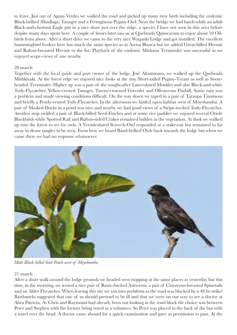to leave. Just out of Aguas Verdes we walked the road and picked up many new birds including the endemic Black-bellied (Huallaga) Tanager and a Ferruginous Pygmy-Owl. Near the bridge we had lunch while an adult Black-and-chestnut Eagle put in a nice show just over the ridge, a species I have not seen in this area before despite many days spent here. A couple of hours later saw us at Quebrada Quisscarum to enjoy about 50 Oilbirds from above. After a short drive we came to the very nice Waqanki Lodge and got installed. The excellent hummingbird feeders here has much the same species as at Arena Blanca but we added Great-billed Hermit and Rufous-breasted Hermit to the list. Playback of the endemic Mishana Tyrannulet was successful as we enjoyed scope-views of one nearby.

#### 20 march

Together with the local guide and part owner of the lodge, José Altamirano, we walked up the Quebrada Mishkiyaki. At the forest edge we enjoyed nice looks at the tiny Short-tailed Pygmy-Tyrant as well as Sootyheaded Tyrannulet. Higher up was a pair of the sought-after Lanceolated Monklet and also Black-and-white Tody-Flycatcher, Yellow-crested Tanager, Tawny-crowned Greenlet and Olivaceous Flatbill. Some rain was a problem and made viewing conditions diffcult. On the way down we taped in a pair of Tataupa Tinamous and briefy a Pearly-vented Tody-Flycatcher. In the afternoon we birded open habitat west of Moyobamba. A pair of Masked Ducks in a pond was nice and nearby we had good views of a Stripe-necked Tody-Flycatcher. Another stop yielded a pair of Black-billed Seed-Finches and at some rice paddies we enjoyed several Oriole Blackbirds while Spotted Rail and Rufous-sided Crakes remained hidden in the vegetation. At dusk we walked up into the forest to try for owls. A Vermiculated Screech-Owl responded at a stake-out but remained to far away in dense tangles to be seen. Form here we heard Band-bellied Owls back towards the lodge but when we came there we had no response whatsoever.



*Male Black-billed Seed-Finch west of Moyobamba*

#### 21 march

After a short walk around the lodge grounds we headed west stopping at the same places as yesterday but this time, in the morning, we scored a nice pair of Rusty-backed Antwrens, a pair of Cinereous-breasted Spinetails and an Alder Flycatcher. When leaving this site we ran into problems as the road was blocked by a 48 hr strike! Bardomelo suggested that one of us should pretend to be ill and that we were on our way to see a doctor at Abra Patricia. As Chris and Raymond had already been out looking at the road block the choice was between Peter and Stephen with the former being voted as a volunteer. So Peter was placed in the back of the bus with a towel over the head. A doctor came aboard for a quick examination and gave us permission to pass. At the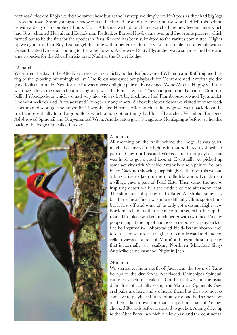next road block at Rioja we did the same show but at the last stop we simply couldn't pass as they had big logs across the road. Some youngsters showed us a back road around the town and we soon had left this behind us with a delay of a couple of hours. Up at Afuentes we had lunch and watched the new feeders here which had Gray-chinned Hermit and Ecuadorian Piedtail. A Barred Hawk came over and I got some pictures which turned out to be the frst for the species in Peru! Record has been submitted to the rarities committee. Higher up we again tried for Royal Sunangel this time with a better result, nice views of a male and a female with a Green-fronted Lancebill coming to the same fowers. A Crowned Slaty-Flycatcher was a surprise fnd here and a new species for the Abra Patricia area! Night at the Owlet Lodge.

#### 22 march

We started the day at the Alto Nieva reserve and quickly added Rufous-vented Whitetip and Buff-thighed Puffeg to the growing hummingbird list. The forest was quiet but playback for Ochre-fronted Antpitta yielded good looks at a male. Next for the list was a very obliging pair of Bar-winged Wood-Wrens. Happy with this we moved down the road a bit and caught up with the Finnish group. They had just located a pair of Crimsonbellied Woodpeckers which we had very nice views of. A big fock here had Plumbeous-crowned Tyrannulet, Cock-of-the-Rock and Rufous-crested Tanager among others. A short bit lower down we visited another feeder set up and soon got the hoped for Tawny-bellied Hermit. After lunch at the lodge we went back down the road and eventually found a good fock which among other things had Inca Flycatcher, Vermilion Tanagers, Ash-browed Spinetail and Gray-mantled Wren. Another stop gave Oleaginous Hemispingus before we headed back to the lodge and called it a day.



#### 23 march

All morning on the trails behind the lodge. It was quiet, maybe because of the light rain that bothered us shortly. A pair of Chestnut-breasted Wrens came in to playback but was hard to get a good look at. Eventually we picked up some activity with Variable Antshrike and a pair of Yellowbilled Caciques showing surprisingly well. After this we had a long drive to Jaen in the middle Marañon. Lunch near a village gave a pair of Pearl Kite. Then came the not so inspiring desert walk in the middle of the afternoon heat. The shumbae subspecies of Collared Antshrike came easy but Little Inca-Finch was more diffcult. Chris spotted one but it few off and some of us only got a distant fight view. Bardomelo had another site a few kilometers further up the road. This place worked much better with two Inca-Finches popping up at the top of cactuses in response to playback of Pacifc Pygmy-Owl. Short-tailed Field-Tyrant showed well too. At Jaen we drove straight up to a side road and had excellent views of a pair of Marañon Cresentchest, a species that is normally very skulking. Northern (Marañon) Slaty-Antshrike came easy too. Night in Jaen

#### 24 march

We started an hour north of Jaen near the town of Tamborapa in the dry forest. Necklaced (Chinchipe) Spinetail came easy before breakfast. On the trail we had the usual diffculties of actually seeing the Marañon Spinetails. Several pairs are here and we heard them but they are not responsive to playback but eventually we had had some views of them. Back down the road I taped in a pair of Yellowcheeked Becards before it started to get hot. A long drive up to the Abra Porculla which is a low pass and the continental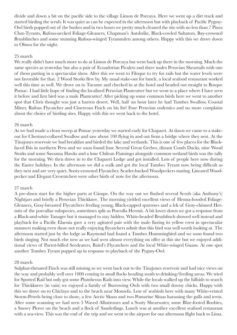divide and down a bit on the pacifc side to the village Limon de Porcuya. Here we went up a dirt track and started birding the scrub. It was quiet as can be expected in the afternoon but with playback of Pacifc Pygmy-Owl birds popped out of the bushes and in two hours we pretty much cleaned the site with no less than 7 Piura Chat-Tyrants, Rufous-necked Foliage-Gleaners, Chapman's Antshrike, Black-cowled Saltators, Bay-crowned Brushfnches and some stunning Rufous-winged Tyrannulets among others. Happy with this we drove down to Olmos for the night.

#### 25 march

We really didn't have much more to do at Limon de Porcuya but went back up there in the morning. Much the same species as yesterday but also a pair of Ecuadorian Piculets and three males Peruvian Sheartails with one of them putting in a spectacular show. After this we went to Filoque to try for rails but the water levels were not favorable for that. 2 Wood Storks few by. My usual stake-out for lunch, a local seafood restaurant worked well this time as well. We drove on to Tucume and checked in at the hotel and headed out straight to Bosque Pomac. I had little hope of fnding the localized Peruvian Plantcutter but we went to a place where I have seen it before and frst bird was a male Plantcutter! After picking up some common birds here we went to another spot that Chris thought was just a barren desert. Well, half an hour later he had Tumbes Swallow, Coastal Miner, Rufous Flycatcher and Cinereous Finch on his list! Four Peruvian endemics and no more complains about the choice of birding sites. Happy with this we went back to the hotel.

#### 26 march

As we had made a clean sweep at Pomac yesterday we started early for Chaparri. At dawn we came to a stakeout for Chestnut-collared Swallow and saw about 100 fying in and out from a bridge where they nest. At the Tinajones reservoir we had breakfast and birded the lake and wetlands. This is one of few places for the Blackfaced Ibis in northern Peru and we soon found four. Several Great Grebes, distant Comb Ducks, nine Wood Storks and some Savanna Hawks and a lone Chilean Flamingo alongside common wetland birds was the tally for the morning. We then drove in to the Chaparri Lodge and got installed. Lots of people here now during the Easter holidays. In the afternoon we did a walk and got the local Tumbes Tyrant now being diffcult as they nest and are very quiet. Sooty-crowned Flycatcher, Scarlet-backed Woodpeckers mating, Lineated Woodpecker and Elegant Cresentchest were other birds of note for the afternoon.

#### 27 march

A pre-dawn start for the higher parts at Cásupe. On the way out we fushed several Scrub (aka Anthony's) Nightjars and briefy a Peruvian Thickknee. The morning yielded excellent views of Henna-hooded Foliage-Gleaners, Gray-breasted Flycatchers feeding young, Black-capped sparrows and a lek of Gray-chinned Hermits of the porcullae subspecies, sometimes split as Porculla Hermit. A bit lower down we got a response from a Black-and-white Tanager but it managed to stay hidden. White-headed Brushfnch showed well instead and playback for a Pacifc Elaenia gave a very agitated pair with the male faring its yellow crest in spectacular manners making even those not really enjoying fycatchers admit that this bird was well worth looking at. The afternoon started just by the lodge as Raymond had found a Tumbes Hummingbird and we soon found two birds singing. Not much else new as we had seen almost everything on offer at this site but we enjoyed additional views of Parrot-billed Seedeaters, Baird's Flycatchers and the local White-winged Guans. At one spot another Tumbes Tyrant popped up in response to playback of the Pygmy-Owl.

#### 28 march

Sulphur-throated Finch was still missing so we went back out to the Tinajones reservoir and had nice views on the way and probably well over 1000 coming in small focks heading south to drinking/feeding areas. We tried for Spotted Rail but only got some Plumbeous Rails into view. While the locals walked up the hillside to search for Thickknees (in vain) we enjoyed a family of Burrowing Owls with two small downy chicks. Happy with this we drove on to Chiclayo and to the beach near Monsefu. Lots of seabirds here with many White-vented Storm-Petrels being close to shore, a few Arctic Skuas and two Pomarine Skuas harassing the gulls and terns. After some scanning we had seen 5 Waved Albatrosses and a Sooty Shearwater, some Blue-footed Boobies, a Snowy Plover on the beach and a fock of Sanderlings. Lunch was at another excellent seafood restaurant with a sea-view. This was the end of the trip and we went to the airport for our afternoon fight back to Lima.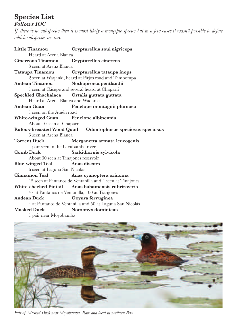## **Species List**

### *Follows IOC*

*If there is no subspecies then it is most likely a montypic species but in a few cases it wasn't possible to defne which subspecies we saw*

|                                             | Little Tinamou Crypturellus soui nigriceps                   |
|---------------------------------------------|--------------------------------------------------------------|
| Heard at Arena Blanca                       |                                                              |
| Cinereous Tinamou Crypturellus cinereus     |                                                              |
| 3 seen at Arena Blanca                      |                                                              |
|                                             | Tataupa Tinamou Crypturellus tataupa inops                   |
|                                             | 2 seen at Waqanki, heard at Pirjos road and Tamborapa        |
| <b>Andean Tinamou</b>                       | Nothoprocta pentlandii                                       |
|                                             | 1 seen at Cásupe and several heard at Chaparri               |
| Speckled Chachalaca Ortalis guttata guttata |                                                              |
| Heard at Arena Blanca and Waqanki           |                                                              |
| <b>Andean Guan</b>                          | Penelope montagnii plumosa                                   |
| 1 seen on the Atuén road                    |                                                              |
| White-winged Guan Penelope albipennis       |                                                              |
| About 10 seen at Chaparri                   |                                                              |
|                                             | Rufous-breasted Wood Quail  Odontophorus speciosus speciosus |
| 3 seen at Arena Blanca                      |                                                              |
| <b>Torrent Duck</b>                         | Merganetta armata leucogenis                                 |
| 1 pair seen in the Utcubamba river          |                                                              |
| <b>Comb Duck</b>                            | Sarkidiornis sylvicola                                       |
| About 30 seen at Tinajones reservoir        |                                                              |
| <b>Blue-winged Teal</b>                     | Anas discors                                                 |
| 6 seen at Laguna San Nicolás                |                                                              |
| <b>Cinnamon Teal</b>                        | Anas cyanoptera orinoma                                      |
|                                             | 15 seen at Pantanos de Ventanilla and 4 seen at Tinajones    |
|                                             | White-cheeked Pintail Anas bahamensis rubrirostris           |
|                                             | 47 at Pantanos de Ventanilla, 100 at Tianjones               |
| <b>Andean Duck</b>                          | Oxyura ferruginea                                            |
|                                             | 4 at Pantanos de Ventanilla and 50 at Laguna San Nicolás     |
| <b>Masked Duck</b>                          | Nomonyx dominicus                                            |
| 1 pair near Moyobamba                       |                                                              |



*Pair of Masked Duck near Moyobamba. Rare and local in northern Peru*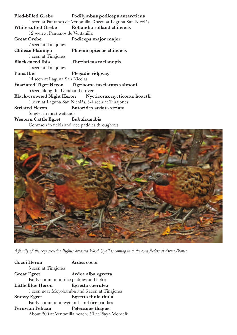| Pied-billed Grebe                  | Podilymbus podiceps antarcticus                                |  |
|------------------------------------|----------------------------------------------------------------|--|
|                                    | 1 seen at Pantanos de Ventanilla, 3 seen at Laguna San Nicolás |  |
| <b>White-tufted Grebe</b>          | Rollandia rolland chilensis                                    |  |
| 12 seen at Pantanos de Ventanilla  |                                                                |  |
| <b>Great Grebe</b>                 | Podiceps major major                                           |  |
| 7 seen at Tinajones                |                                                                |  |
| Chilean Flaningo                   | Phoenicopterus chilensis                                       |  |
| 1 seen at Tinajones                |                                                                |  |
| <b>Black-faced Ibis</b>            | Theristicus melanopis                                          |  |
| 4 seen at Tinajones                |                                                                |  |
| Puna Ibis                          | Plegadis ridgway                                               |  |
| 14 seen at Laguna San Nicolás      |                                                                |  |
|                                    | Fasciated Tiger Heron Tigrisoma fasciatum salmoni              |  |
| 5 seen along the Utcubamba river   |                                                                |  |
|                                    | Black-crowned Night Heron Nycticorax nycticorax hoactli        |  |
|                                    | 1 seen at Laguna San Nicolás, 3-4 seen at Tinajones            |  |
| <b>Striated Heron</b>              | Butorides striata striata                                      |  |
| Singles in most wetlands           |                                                                |  |
| Western Cattle Egret Bubulcus ibis |                                                                |  |
|                                    | Common in fields and rice paddies throughout                   |  |



*A family of the very secretive Rufous-breasted Wood-Quail is coming in to the corn feeders at Arena Blanca*

| Cocoi Heron                                | Ardea cocoi                                        |
|--------------------------------------------|----------------------------------------------------|
| 5 seen at Tinajones                        |                                                    |
| <b>Great Egret</b>                         | Ardea alba egretta                                 |
| Fairly common in rice paddies and fields   |                                                    |
| <b>Little Blue Heron</b>                   | Egretta caerulea                                   |
|                                            | 1 seen near Moyobamba and 6 seen at Tinajones      |
| <b>Snowy Egret</b>                         | Egretta thula thula                                |
| Fairly common in wetlands and rice paddies |                                                    |
| Peruvian Pelican                           | Pelecanus thagus                                   |
|                                            | About 200 at Ventanilla beach, 50 at Playa Monsefu |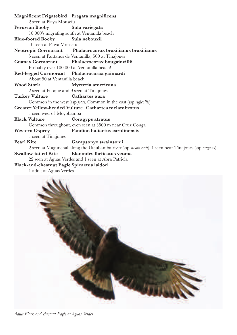**Magnifcent Frigatebird Fregata magnifcens** 2 seen at Playa Monsefu **Peruvian Booby Sula variegata** 10 000's migrating south at Ventanilla beach **Blue-footed Booby Sula nebouxii** 10 seen at Playa Monsefu **Neotropic Cormorant Phalacrocorax brasilianus brasilianus** 5 seen at Pantanos de Ventanilla, 500 at Tinajones **Guanay Cormorant Phalacrocorax bougainvillii** Probably over 100 000 at Ventanilla beach! **Red-legged Cormorant Phalacrocorax gaimardi** About 50 at Ventanilla beach **Wood Stork Mycteria americana** 2 seen at Filoque and 9 seen at Tinajones **Turkey Vulture Cathartes aura** Common in the west (ssp *jota*), Common in the east (ssp *rufcollis*) **Greater Yellow-headed Vulture Cathartes melambrotus** 1 seen west of Moyobamba **Black Vulture Coragyps atratus** Common throughout, even seen at 3500 m near Cruz Conga **Western Osprey Pandion haliaetus carolinensis** 1 seen at Tinajones **Pearl Kite Gampsonyx swainsonii** 2 seen at Magunchal along the Utcubamba river (ssp *swainsonii*), 1 seen near Tinajones (ssp *magnus*) **Swallow-tailed Kite Elanoides forfcatus yetapa** 22 seen at Aguas Verdes and 1 seen at Abra Patricia **Black-and-chestnut Eagle Spizaetus isidori**

1 adult at Aguas Verdes



*Adult Black-and-chestnut Eagle at Aguas Verdes*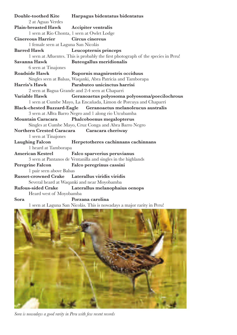**Double-toothed Kite Harpagus bidentatus bidentatus** 2 at Aguas Verdes **Plain-breasted Hawk Accipiter ventralis** 1 seen at Rio Chonta, 1 seen at Owlet Lodge **Cinereous Harrier Circus cinereus** 1 female seen at Laguna San Nicolás **Barred Hawk Leucopternis princeps** 1 seen at Afuentes. This is probably the frst photograph of the species in Peru! **Savanna Hawk Buteogallus meridionalis** 6 seen at Tinajones **Roadside Hawk Rupornis magnirostris occiduus** Singles seen at Balsas, Waqanki, Abra Patricia and Tamborapa **Harris's Hawk Parabuteo unicinctus harrisi** 2 seen at Bagua Grande and 2-4 seen at Chaparri **Variable Hawk Geranoaetus polyosoma polyosoma/poecilochrous** 1 seen at Cumbe Mayo, La Encañada, Limon de Porcuya and Chaparri **Black-chested Buzzard-Eagle Geranoaetus melanoleucus australis** 3 seen at ABra Barro Negro and 1 along rio Utcubamba **Mountain Caracara Phalcoboenus megalopterus** Singles at Cumbe Mayo, Cruz Conga and Abra Barro Negro **Northern Crested Caracara Caracara cheriway** 1 seen at Tinajones **Laughing Falcon Herpetotheres cachinnans cachinnans** 1 heard at Tamborapa **American Kestrel Falco sparverius peruvianus** 3 seen at Pantanos de Ventanilla and singles in the highlands **Peregrine Falcon Falco peregrinus cassini** 1 pair seen above Balsas **Russet-crowned Crake Laterallus viridis viridis** Several heard at Waqanki and near Moyobamba **Rufous-sided Crake Laterallus melanophaius oenops** Heard west of Moyobamba **Sora Porzana carolina** 1 seen at Laguna San Nicolás. This is nowadays a major rarity in Peru!



*Sora is nowadays a good rarity in Peru with few recent records*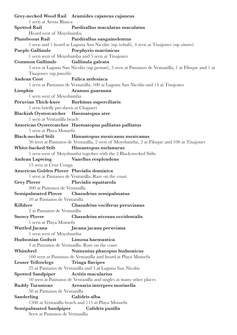|                                            | Grey-necked Wood Rail Aramides cajaneus cajaneus                                                    |
|--------------------------------------------|-----------------------------------------------------------------------------------------------------|
| 1 seen at Arena Blanca                     |                                                                                                     |
| <b>Spotted Rail</b>                        | Pardirallus maculatus maculatus                                                                     |
| Heard west of Moyobamba                    |                                                                                                     |
| <b>Plumbeous Rail</b>                      | Pardirallus sanguinolentus                                                                          |
|                                            | 1 seen and 1 heard at Laguna San Nicolás (ssp tschudii), 4 seen at Tinajones (ssp simonsi)          |
| <b>Purple Gallinule</b>                    | Porphyrio martinicus                                                                                |
|                                            | 1 seen west of Moyobamba and 5 seen at Tinajones                                                    |
| <b>Common Gallinule</b>                    | Gallinula galeata                                                                                   |
|                                            | 3 seen at Laguna San Nicolás (ssp garmani), 3 seen at Pantanos de Ventanilla, 1 at Filoque and 1 at |
| Tinajones (ssp <i>pauxilla</i> )           |                                                                                                     |
| <b>Andean Coot</b>                         | Fulica ardesiaca                                                                                    |
|                                            | 1 seen at Pantanos de Ventanilla, 100 at Laguna San Nicolás and 14 at Tinajones                     |
| Limpkin                                    | Aramus guarauna                                                                                     |
| 1 seen west of Moyobamba                   |                                                                                                     |
| Peruvian Thick-knee Burhinus superciliaris |                                                                                                     |
| 1 seen briefly pre-dawn at Chaparri        |                                                                                                     |
| Blackish Oystercatcher Haematopus ater     |                                                                                                     |
| 1 seen at Ventanilla beach                 |                                                                                                     |
|                                            | American Oystercatcher Haematopus palliatus palliatus                                               |
| 5 seen at Playa Monsefu                    |                                                                                                     |
| <b>Black-necked Stilt</b>                  | Himantopus mexicanus mexicanus                                                                      |
|                                            | 50 seen at Pantanos de Ventanilla, 2 west of Moyobamba, 2 at Filoque and 100 at Tinajones           |
| White-backed Stilt                         | Himantopus melanurus                                                                                |
|                                            | 1 seen west of Moyobamba together with the 2 Black-necked Stilts                                    |
| Andean Lapwing Vanellus resplendens        |                                                                                                     |
| 15 seen at Cruz Conga                      |                                                                                                     |
| American Golden Plover Pluvialis dominica  |                                                                                                     |
|                                            | 1 seen at Pantanos de Ventanilla. Rare on the coast.                                                |
| <b>Grey Plover</b>                         | Pluvialis squatarola                                                                                |
| 200 at Pantanos de Ventanilla              |                                                                                                     |
|                                            | Semipalmated Plover Charadrius semipalmatus                                                         |
| 10 at Pantanos de Ventanilla               |                                                                                                     |
|                                            |                                                                                                     |
| Killdeer                                   | Charadrius vociferus peruvianus                                                                     |
| 2 at Pantanos de Ventanilla                |                                                                                                     |
| <b>Snowy Plover</b>                        | Charadrius nivosus occidentalis                                                                     |
| 1 seen at Playa Monsefu                    |                                                                                                     |
| Wattled Jacana                             | Jacana jacana peruviana                                                                             |
| 1 seen west of Moyobamba                   |                                                                                                     |
| Hudsonian Godwit                           | Limosa haemastica                                                                                   |
|                                            | 3 at Pantanos de Ventanilla. Rare on the coast                                                      |
| Whimbrel                                   | Numenius phaeopus hudsonicus                                                                        |
|                                            | 100 seen at Pantanos de Ventanilla and heard at Playa Monsefu                                       |
| <b>Lesser Yellowlegs</b>                   | <b>Tringa flavipes</b>                                                                              |
|                                            | 25 at Pantanos de Ventanilla and 3 at Laguna San Nicolás                                            |
| <b>Spotted Sandpiper</b>                   | Actitis macularius                                                                                  |
|                                            | 10 seen at Pantanos de Ventanilla and singles at many other places                                  |
| <b>Ruddy Turnstone</b>                     | Arenaria interpres morinella                                                                        |
| 50 at Pantanos de Ventanilla               |                                                                                                     |
| Sanderling                                 | Calidris alba                                                                                       |
|                                            | 1500 at Ventanilla beach and 115 at Playa Monsefu                                                   |
| <b>Semipalmated Sandpiper</b>              | Calidris pusilla                                                                                    |
| Seen at Pantanos de Ventanilla             |                                                                                                     |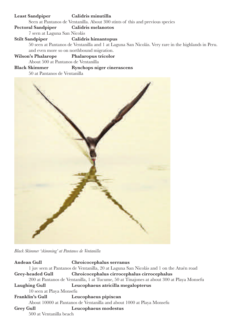### **Least Sandpiper Calidris minutilla** Seen at Pantanos de Ventanilla. About 300 stints of this and previous species **Pectoral Sandpiper Calidris melanotos** 7 seen at Laguna San Nicolás **Stilt Sandpiper Calidris himantopus** 50 seen at Pantanos de Ventanilla and 1 at Laguna San Nicolás. Very rare in the highlands in Peru. and even more so on northbound migration. **Wilson's Phalarope Phalaropus tricolor** About 500 at Pantanos de Ventanilla **Black Skimmer Rynchops niger cinerascens**

50 at Pantanos de Ventanilla



*Black Skimmer 'skimming' at Pantanos de Ventanilla*

**Andean Gull Chroicocephalus serranus** 1 juv seen at Pantanos de Ventanilla, 20 at Laguna San Nicolás and 1 on the Atuén road **Grey-headed Gull Chroicocephalus cirrocephalus cirrocephalus** 200 at Pantanos de Ventanilla, 1 at Tucume, 50 at Tinajones at about 300 at Playa Monsefu **Laughing Gull Leucophaeus atricilla megalopterus** 10 seen at Playa Monsefu **Franklin's Gull Leucophaeus pipixcan** About 10000 at Pantanos de Ventanilla and about 1000 at Playa Monsefu **Grey Gull Leucophaeus modestus** 500 at Ventanilla beach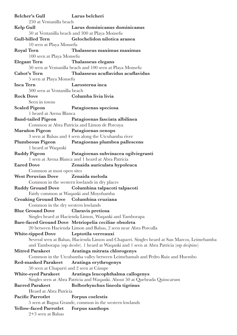| <b>Belcher's Gull</b>                    | Larus belcheri                                                                               |
|------------------------------------------|----------------------------------------------------------------------------------------------|
| 250 at Ventanilla beach                  |                                                                                              |
| Kelp Gull                                | Larus dominicanus dominicanus                                                                |
|                                          | 50 at Ventanilla beach and 300 at Playa Monsefu                                              |
| <b>Gull-billed Tern</b>                  | Gelochelidon nilotica aranea                                                                 |
| 10 seen at Playa Monsefu                 |                                                                                              |
| <b>Royal Tern</b>                        | Thalasseus maximus maximus                                                                   |
| 100 seen at Playa Monsefu                |                                                                                              |
| <b>Elegant Tern</b>                      | <b>Thalasseus elegans</b>                                                                    |
|                                          | 50 seen at Ventanilla beach and 100 seen at Playa Monsefu                                    |
| <b>Cabot's Tern</b>                      | Thalasseus acuflavidus acuflavidus                                                           |
|                                          |                                                                                              |
| 5 seen at Playa Monsefu                  |                                                                                              |
| <b>Inca Tern</b>                         | Larosterna inca                                                                              |
| 500 seen at Ventanilla beach             |                                                                                              |
| <b>Rock Dove</b>                         | Columba livia livia                                                                          |
| Seen in towns                            |                                                                                              |
| <b>Scaled Pigeon</b>                     | Patagioenas speciosa                                                                         |
| 1 heard at Arena Blanca                  |                                                                                              |
|                                          | Band-tailed Pigeon Patagioenas fasciata albilinea                                            |
|                                          | Common at Abra Patricia and Limon de Porcuya                                                 |
| <b>Marañon Pigeon</b>                    | Patagioenas oenops                                                                           |
|                                          | 3 seen at Balsas and 4 seen along the Utcubamba river                                        |
| <b>Plumbeous Pigeon</b>                  | Patagioenas plumbea pallescens                                                               |
| 1 heard at Waqanki                       |                                                                                              |
| <b>Ruddy Pigeon</b>                      | Patagioenas subvinacea ogilviegranti                                                         |
|                                          | 1 seen at Arena Blanca and 1 heard at Abra Patricia                                          |
| <b>Eared Dove</b>                        | Zenaida auriculata hypoleuca                                                                 |
| Common at most open sites                |                                                                                              |
| <b>West Peruvian Dove</b>                | Zenaida meloda                                                                               |
|                                          | Common in the western lowlands in dry places                                                 |
|                                          |                                                                                              |
| <b>Ruddy Ground Dove</b>                 | Columbina talpacoti talpacoti                                                                |
|                                          | Fairly common at Waqanki and Moyobamba                                                       |
| Croaking Ground Dove Columbina cruziana  |                                                                                              |
| Common in the dry western lowlands       |                                                                                              |
| <b>Blue Ground Dove</b>                  | Claravis pretiosa                                                                            |
|                                          | Singles heard at Hacienda Limon, Waqanki and Tamborapa                                       |
|                                          | Bare-faced Ground Dove Metriopelia ceciliae obsoleta                                         |
|                                          | 20 between Hacienda Limon and Balsas, 2 seen near Abra Porculla                              |
| <b>White-tipped Dove</b>                 | Leptotila verreauxi                                                                          |
|                                          | Several seen at Balsas, Hacienda Limon and Chaparri. Singles heard at San Marcos, Leimebamba |
|                                          | and Tamborapa (ssp decolor). 1 heard at Waqanki and 1 seen at Abra Patricia (ssp decipiens)  |
| <b>Mitred Parakeet</b>                   | Aratinga mitrata chlorogenys                                                                 |
|                                          | Common in the Utcubamba valley between Leimebamab and Pedro Ruiz and Huembo                  |
| <b>Red-masked Parakeet</b>               | Aratinga erythrogenys                                                                        |
| 50 seen at Chaparri and 2 seen at Cásupe |                                                                                              |
| <b>White-eyed Parakeet</b>               | Aratinga leucophthalma callogenys                                                            |
|                                          | Singles seen at Abra Patricia and Waqanki. About 50 at Quebrada Quisscarum                   |
| <b>Barred Parakeet</b>                   | Bolborhynchus lineola tigrinus                                                               |
| Heard at Abra Patricia                   |                                                                                              |
| Pacific Parrotlet                        | Forpus coelestis                                                                             |
|                                          | 5 seen at Bagua Grande, common in the western lowlands                                       |
| <b>Yellow-faced Parrotlet</b>            | Forpus xanthops                                                                              |
|                                          |                                                                                              |
| 2+3 seen at Balsas                       |                                                                                              |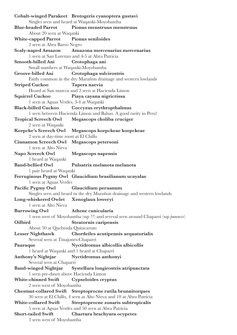**Cobalt-winged Parakeet Brotogeris cyanoptera gustavi** Singles seen and heard at Waqanki-Moyobamba **Blue-headed Parrot Pionus menstruus menstruus** About 20 seen at Waqanki **White-capped Parrot Pionus seniloides** 2 seen at Abra Barro Negro **Scaly-naped Amazon Amazona mercenarius mercenarius** 1 seen at San Lorenzo and 4-5 at Abra Patricia **Smooth-billed Ani Crotophaga ani** Small numbers at Waqanki-Moyobamba **Groove-billed Ani Crotophaga sulcirostris** Fairly common in the dry Marañon drainage and western lowlands **Striped Cuckoo Tapera naevia** Heard at San marcos and 2 seen at Hacienda Limon **Squirrel Cuckoo Piaya cayana nigricrissa** 1 seen at Aguas Verdes, 3-4 at Waqanki **Black-billed Cuckoo Coccyzus erythropthalmus** 1 seen between Hacienda Limon and Balsas. A good rarity in Peru! **Tropical Screech Owl Megascops choliba cruciger** 2 seen at Waqanki **Koepcke's Screech Owl Megascops koepckeae koepckeae** 2 seen at day-time roost at El Chillo **Cinnamon Screech Owl Megascops petersoni** 1 seen at Alto Nieva **Napo Screech Owl Megascops napensis** 1 heard at Waqanki **Band-bellied Owl Pulsatrix melanota melanota** 1 pair heard at Waqanki **Ferruginous Pygmy Owl Glaucidium brasilianum ucayalae** 1 seen at Aguas Verdes **Pacifc Pygmy Owl Glaucidium peruanum** Singles seen and heard in the dry Marañon drainage and western lowlands **Long-whiskered Owlet Xenoglaux loweryi** 1 seen at Alto Nieva **Burrowing Owl Athene cunicularia** 1 seen west of Moyobamba (ssp ??) and several seen around Chaparri (ssp *punensis*) **Oilbird Steatornis caripensis** About 50 at Quebrada Quisscarum **Lesser Nighthawk Chordeiles acutipennis aequatorialis** Several seen at Tinajones-Chaparri **Pauraque Nyctidromus albicollis albicollis** 1 heard at Waqanki and 1 heard at Chaparri **Anthony's Nightjar Nyctidromus anthonyi** Several seen at Chaparri **Band-winged Nightjar Systellura longirostris atripunctata** 1 seen pre-dawn above Hacienda Limon **White-chinned Swift Cypseloides cryptus** 2 seen west of Moyobamba **Chestnut-collared Swift Streptoprocne rutila brunnitorques** 30 seen at El Chillo, 4 seen at Alto Nieva and 10 at Abra Patricia **White-collared Swift Streptoprocne zonaris subtropicalis** 5 seen at Aguas Verdes and 50 seen at Abra Patricia **Short-tailed Swift Chaetura brachyura ocypetes** 3 seen west of Moyobamba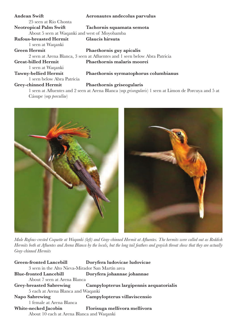| <b>Andean Swift</b>                           | Aeronautes andecolus parvulus                                                                              |
|-----------------------------------------------|------------------------------------------------------------------------------------------------------------|
| 25 seen at Rio Chonta                         |                                                                                                            |
| <b>Neotropical Palm Swift</b>                 | Tachornis squamata semota                                                                                  |
| About 5 seen at Waqanki and west of Moyobamba |                                                                                                            |
| <b>Rufous-breasted Hermit</b>                 | Glaucis hirsuta                                                                                            |
| 1 seen at Waqanki                             |                                                                                                            |
| <b>Green Hermit</b>                           | Phaethornis guy apicalis                                                                                   |
|                                               | 2 seen at Arena Blanca, 3 seen at Afluentes and 1 seen below Abra Patricia                                 |
| <b>Great-billed Hermit</b>                    | Phaethornis malaris moorei                                                                                 |
| 1 seen at Waqanki                             |                                                                                                            |
| <b>Tawny-bellied Hermit</b>                   | Phaethornis syrmatophorus columbianus                                                                      |
| 1 seen below Abra Patricia                    |                                                                                                            |
| <b>Grey-chinned Hermit</b>                    | Phaethornis griseogularis                                                                                  |
|                                               | $\frac{1}{2}$ seen at Affuentes and 2 seen at Arena Blance (sep grisesquidars) $\frac{1}{2}$ seen at Limon |

1 seen at Afuentes and 2 seen at Arena Blanca (ssp *griseogularis*) 1 seen at Limon de Porcuya and 5 at Cásupe (ssp *porcullae*)



*Male Rufous-crested Coquette at Waqanki (left) and Gray-chinned Hermit at Afuentes. The hermits were called out as Reddish Hermits both at Afuentes and Arena Blanca by the locals, but the long tail feathers and grayish throat show that they are actually Gray-chinned Hermits*

| <b>Green-fronted Lancebill</b>                   | Doryfera ludovicae ludovicae                                    |
|--------------------------------------------------|-----------------------------------------------------------------|
| 3 seen in the Alto Nieva-Mirador San Martín area |                                                                 |
| <b>Blue-fronted Lancebill</b>                    | Doryfera johannae johannae                                      |
| About 7 seen at Arena Blanca                     |                                                                 |
|                                                  | Grey-breasted Sabrewing Campylopterus largipennis aequatorialis |
| 5 each at Arena Blanca and Waqanki               |                                                                 |
| Napo Sabrewing                                   | Campylopterus villaviscensio                                    |
| 1 female at Arena Blanca                         |                                                                 |
| White-necked Jacobin                             | Florisuga mellivora mellivora                                   |
| About 10 each at Arena Blanca and Waqanki        |                                                                 |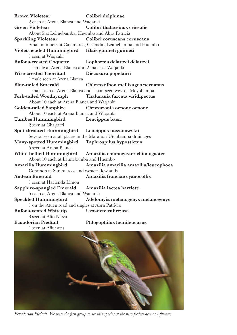| <b>Brown Violetear</b>                           | Colibri delphinae                                             |
|--------------------------------------------------|---------------------------------------------------------------|
| 2 each at Arena Blanca and Waqanki               |                                                               |
| <b>Green Violetear</b>                           | Colibri thalassinus crissalis                                 |
| About 5 at Leimebamba, Huembo and Abra Patricia  |                                                               |
| <b>Sparkling Violetear</b>                       | Colibri coruscans coruscans                                   |
|                                                  | Small numbers at Cajamarca, Celendin, Leimebamba and Huembo   |
| Violet-headed Hummingbird Klais guimeti guimeti  |                                                               |
| 1 seen at Waqanki                                |                                                               |
| <b>Rufous-crested Coquette</b>                   | Lophornis delattrei delattrei                                 |
| 1 female at Arena Blanca and 2 males at Waqanki  |                                                               |
| Wire-crested Thorntail                           | Discosura popelairii                                          |
| 1 male seen at Arena Blanca                      |                                                               |
| <b>Blue-tailed Emerald</b>                       | Chlorostilbon mellisugus peruanus                             |
|                                                  | 1 male seen at Arena Blanca and 1 pair seen west of Moyobamba |
| <b>Fork-tailed Woodnymph</b>                     | Thalurania furcata viridipectus                               |
| About 10 each at Arena Blanca and Waqanki        |                                                               |
| <b>Golden-tailed Sapphire</b>                    | Chrysuronia oenone oenone                                     |
| About 10 each at Arena Blanca and Waqanki        |                                                               |
| <b>Tumbes Hummingbird</b>                        | Leucippus baeri                                               |
| 2 seen at Chaparri                               |                                                               |
| <b>Spot-throated Hummingbird</b>                 | Leucippus taczanowskii                                        |
|                                                  | Several seen at all places in the Marañon-Utcubamba drainages |
| Many-spotted Hummingbird                         | Taphrospilus hypostictus                                      |
| 5 seen at Arena Blanca                           |                                                               |
| White-bellied Hummingbird                        | Amazilia chionogaster chionogaster                            |
| About 10 each at Leimebamba and Huembo           |                                                               |
| Amazilia Hummingbird                             | Amazilia amazilia amazilia/leucophoea                         |
| Common at San marcos and western lowlands        |                                                               |
| <b>Andean Emerald</b>                            | Amazilia franciae cyanocollis                                 |
| 1 seen at Hacienda Limon                         |                                                               |
| Sapphire-spangled Emerald                        | Amazilia lactea bartletti                                     |
| 5 each at Arena Blanca and Waqanki               |                                                               |
| <b>Speckled Hummingbird</b>                      | Adelomyia melanogenys melanogenys                             |
| 1 on the Atuén road and singles at Abra Patricia |                                                               |
| <b>Rufous-vented Whitetip</b>                    | Urosticte ruficrissa                                          |
| 3 seen at Alto Nieva                             |                                                               |
| <b>Ecuadorian Piedtail</b>                       | Phlogophilus hemileucurus                                     |
| 1 seen at Afluentes                              |                                                               |



*Ecuadorian Piedtail. We were the frst group to see this species at the new feeders here at Afuentes*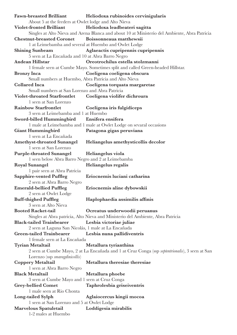| <b>Fawn-breasted Brilliant</b>                         | Heliodoxa rubinoides cervinigularis                                                             |
|--------------------------------------------------------|-------------------------------------------------------------------------------------------------|
| About 5 at the feeders at Owlet lodge and Alto Nieva   |                                                                                                 |
| <b>Violet-fronted Brilliant</b>                        | Heliodoxa leadbeateri sagitta                                                                   |
|                                                        | Singles at Alto Nieva and Arena Blanca and about 10 at Ministerio del Ambiente, Abra Patricia   |
| <b>Chestnut-breasted Coronet</b>                       | Boissonneaua matthewsii                                                                         |
|                                                        | 1 at Leimebamba and several at Huembo and Owlet Lodge                                           |
| <b>Shining Sunbeam</b>                                 | Aglaeactis cupripennis cupripennis                                                              |
| 5 seen at La Encañada and 10 at Abra Barro Negro       |                                                                                                 |
| <b>Andean Hillstar</b>                                 | Oreotrochilus estella stolzmanni                                                                |
|                                                        | 1 female seen at Cumbe Mayo. Sometimes split and called Green-headed Hillstar.                  |
| <b>Bronzy</b> Inca                                     | Coeligena coeligena obscura                                                                     |
| Small numbers at Huembo, Abra Patricia and Alto Nieva  |                                                                                                 |
| <b>Collared Inca</b>                                   | Coeligena torquata margaretae                                                                   |
| Small numbers at San Lorenzo and Abra Patricia         |                                                                                                 |
| <b>Violet-throated Starfrontlet</b>                    | Coeligena violifer dichroura                                                                    |
| 1 seen at San Lorenzo                                  |                                                                                                 |
| <b>Rainbow Starfrontlet</b>                            | Coeligena iris fulgidiceps                                                                      |
| 3 seen at Leimebamba and 1 at Huembo                   |                                                                                                 |
| Sword-billed Hummingbird                               | Ensifera ensifera                                                                               |
|                                                        | 1 male at Leimebamba and 1 male at Owlet Lodge on sevaral occasions                             |
| <b>Giant Hummingbird</b>                               | Patagona gigas peruviana                                                                        |
| 1 seen at La Encañada                                  |                                                                                                 |
| <b>Amethyst-throated Sunangel</b>                      | Heliangelus amethysticollis decolor                                                             |
| 1 seen at San Lorenzo                                  |                                                                                                 |
| <b>Purple-throated Sunangel</b>                        | Heliangelus viola                                                                               |
| 1 seen below Abra Barro Negro and 2 at Leimebamba      |                                                                                                 |
| <b>Royal Sunangel</b>                                  | Heliangelus regalis                                                                             |
| 1 pair seen at Abra Patricia                           |                                                                                                 |
| <b>Sapphire-vented Puffleg</b>                         | Eriocnemis luciani catharina                                                                    |
| 2 seen at Abra Barro Negro                             |                                                                                                 |
| <b>Emerald-bellied Puffleg</b>                         | Eriocnemis aline dybowskii                                                                      |
| 2 seen at Owlet Lodge                                  |                                                                                                 |
| <b>Buff-thighed Puffleg</b>                            | Haplophaedia assimilis affinis                                                                  |
| 3 seen at Alto Nieva                                   |                                                                                                 |
| <b>Booted Racket-tail</b>                              | Ocreatus underwoodii peruanus                                                                   |
|                                                        | Singles at Abra patricia, Alto Nieva and Ministerio del Ambiente, Abra Patricia                 |
| <b>Black-tailed Trainbearer</b>                        | Lesbia victoriae juliae                                                                         |
| 2 seen at Laguna San Nicolás, 1 male at La Encañada    |                                                                                                 |
| <b>Green-tailed Trainbearer</b>                        | Lesbia nuna pallidiventris                                                                      |
| 1 female seen at La Encañada                           |                                                                                                 |
| <b>Tyrian Metaltail</b>                                | Metallura tyrianthina                                                                           |
|                                                        | 2 seen at Cumbe Mayo, 2 at La Encañada and 1 at Cruz Conga (ssp septentrionalis), 3 seen at San |
| Lorenzo (ssp smaragdinicollis)                         |                                                                                                 |
| <b>Coppery Metaltail</b>                               | Metallura theresiae theresiae                                                                   |
| 1 seen at Abra Barro Negro                             |                                                                                                 |
| <b>Black Metaltail</b>                                 |                                                                                                 |
|                                                        | Metallura phoebe                                                                                |
| 3 seen at Cumbe Mayo and 1 seen at Cruz Conga          |                                                                                                 |
| <b>Grey-bellied Comet</b><br>1 male seen at Rio Chonta | Taphrolesbia griseiventris                                                                      |
|                                                        |                                                                                                 |
| Long-tailed Sylph                                      | Aglaiocercus kingii mocoa                                                                       |
| 1 seen at San Lorenzo and 5 at Owlet Lodge             |                                                                                                 |
| Marvelous Spatuletail<br>1-2 males at Huembo           | Loddigesia mirabilis                                                                            |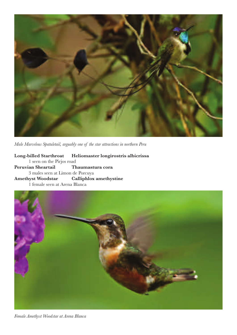

*Male Marvelous Spatuletail, arguably one of the star attractions in northern Peru*

**Long-billed Starthroat Heliomaster longirostris albicrissa** 1 seen on the Pirjos road **Peruvian Sheartail Thaumastura cora** 3 males seen at Limon de Porcuya **Amethyst Woodstar Calliphlox amethystine** 1 female seen at Arena Blanca



*Female Amethyst Woodstar at Arena Blanca*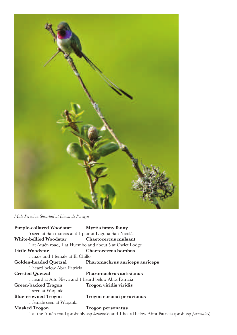

*Male Peruvian Sheartail at Limon de Porcuya*

| Purple-collared Woodstar Myrtis fanny fanny           |                                                         |
|-------------------------------------------------------|---------------------------------------------------------|
| 5 seen at San marcos and 1 pair at Laguna San Nicolás |                                                         |
| <b>White-bellied Woodstar</b>                         | Chaetocercus mulsant                                    |
|                                                       | 1 at Atuén road, 1 at Huembo and about 5 at Owlet Lodge |
| <b>Little Woodstar</b>                                | Chaetocercus bombus                                     |
| 1 male and 1 female at El Chillo                      |                                                         |
| Golden-headed Quetzal                                 | Pharomachrus auriceps auriceps                          |
| 1 heard below Abra Patricia                           |                                                         |
| <b>Crested Quetzal</b>                                | Pharomachrus antisianus                                 |
| 1 heard at Alto Nieva and 1 heard below Abra Patricia |                                                         |
| <b>Green-backed Trogon</b>                            | Trogon viridis viridis                                  |
| 1 seen at Waqanki                                     |                                                         |
| <b>Blue-crowned Trogon</b>                            | Trogon curucui peruvianus                               |
| 1 female seen at Waqanki                              |                                                         |
| <b>Masked Trogon</b>                                  | Trogon personatus                                       |

1 at the Atuén road (probably ssp *heliothrix*) and 1 heard below Abra Patricia (prob ssp *personatus*)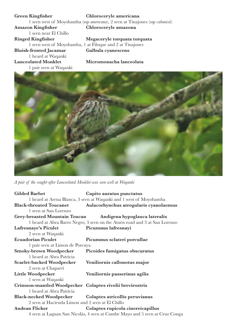**Green Kingfsher Chloroceryle americana** 1 seen west of Moyobamba (ssp *americana*), 2 seen at Tinajones (ssp *cabanisii*) **Amazon Kingfsher Chloroceryle amazona** 1 seen near El Chillo<br>Ringed Kingfisher **Ringed Kingfsher Megaceryle torquata torquata** 1 seen west of Moyobamba, 1 at Filoque and 2 at Tinajones<br> **-fronted Jacamar** Galbula cyanescens **Bluish-fronted Jacamar** 1 heard at Waqanki **Lanceolated Monklet Micromonacha lanceolata** 1 pair seen at Waqanki



*A pair of the sought-after Lanceolated Monklet was seen well at Waqanki*

| <b>Gilded Barbet</b>                                     | Capito auratus punctatus                                                    |
|----------------------------------------------------------|-----------------------------------------------------------------------------|
|                                                          | 1 heard at Arena Blanca, 3 seen at Waqanki and 1 west of Moyobamba          |
| <b>Black-throated Toucanet</b>                           | Aulacorhynchus atrogularis cyanolaemus                                      |
| 1 seen at San Lorenzo                                    |                                                                             |
|                                                          | Grey-breasted Mountain Toucan Andigena hypoglauca lateralis                 |
|                                                          | 1 heard at Abra Barro Negro, 3 seen on the Atuén road and 3 at San Lorenzo  |
| Lafresnaye's Piculet                                     | Picumnus lafresnayi                                                         |
| 2 seen at Waqanki                                        |                                                                             |
| <b>Ecuadorian Piculet</b>                                | Picumnus sclateri porcullae                                                 |
| 1 pair seen at Limon de Porcuya                          |                                                                             |
| Smoky-brown Woodpecker                                   | Picoides fumigatus obscuratus                                               |
| 1 heard at Abra Patricia                                 |                                                                             |
| Scarlet-backed Woodpecker                                | Veniliornis callonotus major                                                |
| 2 seen at Chaparri                                       |                                                                             |
| <b>Little Woodpecker</b>                                 | Veniliornis passerinus agilis                                               |
| 1 seen at Waqanki                                        |                                                                             |
| Crimson-mantled Woodpecker Colaptes rivolii brevirostris |                                                                             |
| 1 heard at Abra Patricia                                 |                                                                             |
| Black-necked Woodpecker Colaptes atricollis peruvianus   |                                                                             |
| 2 seen at Hacienda Limon and 2 seen at El Chillo         |                                                                             |
| <b>Andean Flicker</b>                                    | Colaptes rupicola cinereicapillus                                           |
|                                                          | 4 seen at Laguan San Nicolás, 4 seen at Cumbe Mayo and 5 seen at Cruz Conga |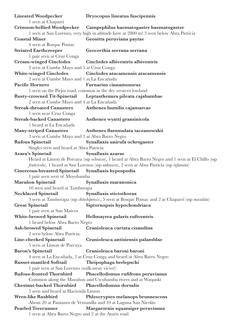| <b>Lineated Woodpecker</b>                               | Dryocopus lineatus fuscipennis                                                                                   |
|----------------------------------------------------------|------------------------------------------------------------------------------------------------------------------|
| 1 seen at Chaparri                                       |                                                                                                                  |
| <b>Crimson-bellied Woodpecker</b>                        | Campephilus haematogaster haematogaster                                                                          |
|                                                          | 1 seen at San Lorenzo, very high in altitude here at 2800 m! 3 seen below Abra Patricia                          |
| <b>Coastal Miner</b>                                     | Geositta peruviana paytae                                                                                        |
| 4 seen at Bosque Pomac                                   |                                                                                                                  |
| <b>Striated Earthcreeper</b>                             | Geocerthia serrana serrana                                                                                       |
| 1 pair seen at Cruz Conga                                |                                                                                                                  |
| <b>Cream-winged Cinclodes</b>                            | Cinclodes albiventris albiventris                                                                                |
| 2 seen at Cumbe Mayo and 5 at Cruz Conga                 |                                                                                                                  |
|                                                          |                                                                                                                  |
| <b>White-winged Cinclodes</b>                            | Cinclodes atacamensis atacamensis                                                                                |
| 2 seen at Cumbe Mayo and 1 at La Encañada                |                                                                                                                  |
| Pacific Hornero                                          | Furnarius cinnamomeus                                                                                            |
|                                                          | 1 seen on the Pirjos road, common in the dry western lowland                                                     |
| <b>Rusty-crowned Tit-Spinetail</b>                       | Leptasthenura pileata cajabambae                                                                                 |
| 2 seen at Cumbe Mayo and 4 at La Encañada                |                                                                                                                  |
| <b>Streak-throated Canastero</b>                         | Asthenes humilis cajamarcae                                                                                      |
| 1 seen near Cruz Conga<br><b>Streak-backed Canastero</b> |                                                                                                                  |
|                                                          | Asthenes wyatti graminicola                                                                                      |
| 1 heard at La Encañada                                   |                                                                                                                  |
| <b>Many-striped Canastero</b>                            | Asthenes flammulata taczanowskii                                                                                 |
| 3 seen at Cumbe Mayo and 2 at Abra Barro Negro           |                                                                                                                  |
| <b>Rufous Spinetail</b>                                  | Synallaxis unirufa ochrogaster                                                                                   |
| Singles seen and heard at Abra Patricia                  |                                                                                                                  |
| Azara's Spinetail                                        | Synallaxis azarae                                                                                                |
|                                                          | Heard at Limon de Porcuya (ssp ochracea), 1 heard at Abra Barro Negro and 1 seen at El Chillo (ssp               |
|                                                          | fruticicola), 1 heard at San Lorenzo (ssp unknown), 2 seen at Abra Patricia (ssp infumata)                       |
| <b>Cinereous-breasted Spinetail</b>                      | Synallaxis hypospodia                                                                                            |
| 1 pair seen west of Moyobamba                            |                                                                                                                  |
| <b>Marañon Spinetail</b>                                 | Synallaxis maranonica                                                                                            |
| 10 seen and heard at Tamborapa                           |                                                                                                                  |
| <b>Necklaced Spinetail</b>                               | Synallaxis stictothorax                                                                                          |
|                                                          | 3 seen at Tamborapa (ssp <i>chinchipensis</i> ), 5 seen at Bosque Pomac and 2 at Chaparri (ssp <i>maculata</i> ) |
| <b>Great Spinetail</b>                                   | Siptornopsis hypochondriaca                                                                                      |
|                                                          |                                                                                                                  |
| 1 pair seen at San Marcos                                |                                                                                                                  |
| <b>White-browed Spinetail</b>                            | Hellmayrea gularis rufiventris                                                                                   |
| 1 heard below Abra Barro Negro                           |                                                                                                                  |
| <b>Ash-browed Spinetail</b>                              | Cranioleuca curtata cisandina                                                                                    |
| 2 seen below Abra Patricia                               |                                                                                                                  |
| Line-cheeked Spinetail                                   | Cranioleuca antisiensis palamblae                                                                                |
| 5 seen at Limon de Porcuya                               |                                                                                                                  |
| <b>Baron's Spinetail</b>                                 | Cranioleuca baroni baroni                                                                                        |
|                                                          | 4 seen at La Encañada, 2 at Cruz Conga and heard at Abra Barro Negro                                             |
| <b>Russet-mantled Softtail</b>                           | Thripophaga berlepschi                                                                                           |
| 1 pair seen at San Lorenzo (walk-away views!)            |                                                                                                                  |
| <b>Rufous-fronted Thornbird</b>                          | Phacellodomus rufifrons peruvianus                                                                               |
|                                                          | Common along the Marañon and Utcubamba rivers and at Waqanki                                                     |
| <b>Chestnut-backed Thornbird</b>                         | <b>Phacellodomus dorsalis</b>                                                                                    |
| 5 seen and heard at Hacienda Limon                       |                                                                                                                  |
| <b>Wren-like Rushbird</b>                                | Phleocryptes melanops brunnescens                                                                                |
|                                                          | About 20 at Pantanos de Ventanilla and 10 at Laguna San Nicolás                                                  |
| <b>Pearled Treerunner</b>                                | Margarornis squamiger peruvianus                                                                                 |
| 1 seen at Abra Barro Negro and 2 at the Atuén road       |                                                                                                                  |
|                                                          |                                                                                                                  |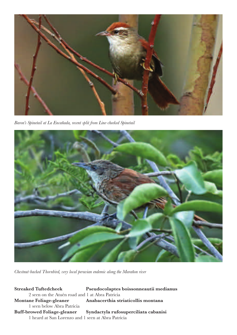

*Baron's Spinetail at La Encañada, recent split from Line-cheeked Spinetail*



*Chestnut-backed Thornbird, very local peruvian endemic along the Marañon river*

**Streaked Tuftedcheek Pseudocolaptes boissonneautii medianus** 2 seen on the Atuén road and 1 at Abra Patricia **Montane Foliage-gleaner Anabacerthia striaticollis montana** 1 seen below Abra Patricia **Buff-browed Foliage-gleaner Syndactyla rufosuperciliata cabanisi** 1 heard at San Lorenzo and 1 seen at Abra Patricia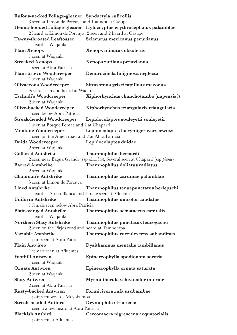| Rufous-necked Foliage-gleaner Syndactyla ruficollis          |                                                                               |
|--------------------------------------------------------------|-------------------------------------------------------------------------------|
| 3 seen at Limon de Porcuya and 1 at nest at Cásupe           |                                                                               |
|                                                              | Henna-hooded Foliage-gleaner Hylocryptus erythrocephalus palamblae            |
|                                                              | 2 heard at Limon de Porcuya, 2 seen and 2 heard at Cásupe                     |
| <b>Tawny-throated Leaftosser</b>                             | Sclerurus mexicanus peruvianus                                                |
| 1 heard at Waqanki                                           |                                                                               |
| <b>Plain Xenops</b>                                          | Xenops minutus obsoletus                                                      |
| 1 seen at Waqanki                                            |                                                                               |
| <b>Streaked Xenops</b>                                       | Xenops rutilans peruvianus                                                    |
| 1 seen at Abra Patricia                                      |                                                                               |
| <b>Plain-brown Woodcreeper</b>                               | Dendrocincla fuliginosa neglecta                                              |
| 1 seen at Waqanki                                            |                                                                               |
| <b>Olivaceous Woodcreeper</b>                                | Sittasomus griseicapillus amazonus                                            |
| Several seen and heard at Waqanki                            |                                                                               |
| <b>Tschudi's Woodcreeper</b><br>2 seen at Waqanki            | Xiphorhynchus chunchotambo (napensis?)                                        |
| <b>Olive-backed Woodcreeper</b>                              | Xiphorhynchus triangularis triangularis                                       |
| 1 seen below Abra Patricia                                   |                                                                               |
| <b>Streak-headed Woodcreeper</b>                             | Lepidocolaptes souleyetii souleyetii                                          |
| 1 seen at Bosque Pomac and 2 at Chaparri                     |                                                                               |
| <b>Montane Woodcreeper</b>                                   | Lepidocolaptes lacrymiger warscewiczi                                         |
| 1 seen on the Atuén road and 2 at Abra Patricia              |                                                                               |
| Duida Woodcreeper                                            | Lepidocolaptes duidae                                                         |
| 2 seen at Waqanki                                            |                                                                               |
| <b>Collared Antshrike</b>                                    | Thamnophilus bernardi                                                         |
|                                                              | 2 seen near Bagua Grande (ssp shumbae), Several seen at Chaparri (ssp piurae) |
| <b>Barred Antshrike</b>                                      | Thamnophilus doliatus radiatus                                                |
| 2 seen at Waqanki                                            |                                                                               |
| Chapman's Antshrike                                          | Thamnophilus zarumae palamblae                                                |
| 5 seen at Limon de Porcuya                                   |                                                                               |
| <b>Lined Antshrike</b>                                       | Thamnophilus tenuepunctatus berlepschi                                        |
| 1 heard at Arena Blanca and 1 male seen at Afluentes         |                                                                               |
| <b>Uniform Antshrike</b>                                     | Thamnophilus unicolor caudatus                                                |
| 1 female seen below Abra Patricia                            |                                                                               |
| <b>Plain-winged Antshrike</b>                                | Thamnophilus schistaceus capitalis                                            |
| 1 heard at Waqanki                                           |                                                                               |
| <b>Northern Slaty Antshrike</b>                              | Thamnophilus punctatus leucogaster                                            |
| 2 seen on the Pirjos road and heard at Tamborapa             |                                                                               |
| Variable Antshrike                                           | Thamnophilus caerulescens subandinus                                          |
| 1 pair seen at Abra Patricia                                 |                                                                               |
| <b>Plain Antvireo</b>                                        | Dysithamnus mentalis tambillanus                                              |
| 1 female seen at Afluentes                                   |                                                                               |
| <b>Foothill Antwren</b>                                      | Epinecrophylla spodionota sororia                                             |
| 1 seen at Waqanki                                            |                                                                               |
| <b>Ornate Antwren</b>                                        | Epinecrophylla ornata saturata                                                |
| 2 seen at Waqanki                                            |                                                                               |
| <b>Slaty Antwren</b><br>2 seen at Abra Patricia              | Myrmotherula schisticolor interior                                            |
|                                                              | Formicivora rufa urubambae                                                    |
| <b>Rusty-backed Antwren</b><br>1 pair seen west of Moyobamba |                                                                               |
| <b>Streak-headed Antbird</b>                                 | Drymophila striaticeps                                                        |
| 1 seen a a few heard at Abra Patricia                        |                                                                               |
| <b>Blackish Antbird</b>                                      | Cercomacra nigrescens aequatorialis                                           |
| 1 pair seen at Afluentes                                     |                                                                               |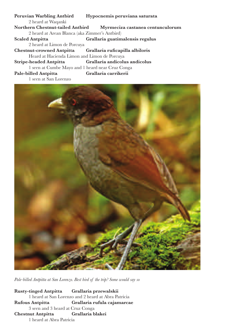**Peruvian Warbling Antbird Hypocnemis peruviana saturata** 2 heard at Waqanki **Northern Chestnut-tailed Antbird Myrmeciza castanea centunculorum** 2 heard at Arean Blanca (aka Zimmer's Antbird) **Scaled Antpitta Grallaria guatimalensis regulus** 2 heard at Limon de Porcuya **Chestnut-crowned Antpitta Grallaria rufcapilla albiloris** Heard at Hacienda Limon and Limon de Porcuya **Stripe-headed Antpitta Grallaria andicolus andicolus** 1 seen at Cumbe Mayo and 1 heard near Cruz Conga **Pale-billed Antpitta Grallaria carrikerii** 1 seen at San Lorenzo



*Pale-billed Antpitta at San Lorenzo. Best bird of the trip? Some would say so*

**Rusty-tinged Antpitta Grallaria przewalskii** 1 heard at San Lorenzo and 2 heard at Abra Patricia **Rufous Antpitta Grallaria rufula cajamarcae** 3 seen and 3 heard at Cruz Conga **Chestnut Antpitta Grallaria blakei** 1 heard at Abra Patricia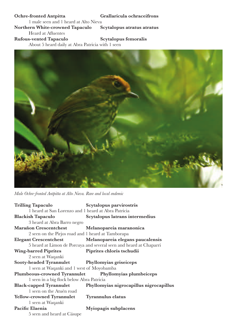### **Ochre-fronted Antpitta Grallaricula ochraceifrons** 1 male seen and 1 heard at Alto Nieva **Northern White-crowned Tapaculo Scytalopus atratus atratus**

Heard at Afuentes

**Rufous-vented Tapaculo Scytalopus femoralis**

About 5 heard daily at Abra Patricia with 1 seen



*Male Ochre-fronted Antpitta at Alto Nieva. Rare and local endemic*

| <b>Trilling Tapaculo</b>                            | Scytalopus parvirostris                                            |
|-----------------------------------------------------|--------------------------------------------------------------------|
| 1 heard at San Lorenzo and 1 heard at Abra Patricia |                                                                    |
| <b>Blackish Tapaculo</b>                            | Scytalopus latrans intermedius                                     |
| 3 heard at Abra Barro negro                         |                                                                    |
| <b>Marañon Crescentchest</b>                        | Melanopareia maranonica                                            |
| 2 seen on the Pirjos road and 1 heard at Tamborapa  |                                                                    |
|                                                     | Elegant Crescentchest Melanopareia elegans paucalensis             |
|                                                     | 5 heard at Limon de Porcuya and several seen and heard at Chaparri |
| <b>Wing-barred Piprites</b>                         | Piprites chloris tschudii                                          |
| 2 seen at Waqanki                                   |                                                                    |
| Sooty-headed Tyrannulet Phyllomyias griseiceps      |                                                                    |
| 1 seen at Waqanki and 1 west of Moyobamba           |                                                                    |
|                                                     | Plumbeous-crowned Tyrannulet Phyllomyias plumbeiceps               |
| 1 seen in a big flock below Abra Patricia           |                                                                    |
|                                                     | Black-capped Tyrannulet Phyllomyias nigrocapillus nigrocapillus    |
| 1 seen on the Atuén road                            |                                                                    |
| Yellow-crowned Tyrannulet Tyrannulus elatus         |                                                                    |
| 1 seen at Waqanki                                   |                                                                    |
| Pacific Elaenia                                     | Myiopagis subplacens                                               |
| 5 seen and heard at Cásupe                          |                                                                    |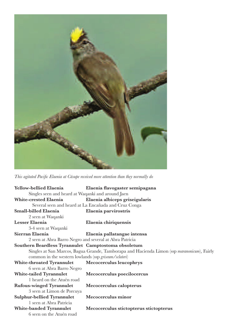

*This agitated Pacifc Elaenia at Cásupe received more attention than they normally do*

| Yellow-bellied Elaenia                                  | Elaenia flavogaster semipagana                                                              |
|---------------------------------------------------------|---------------------------------------------------------------------------------------------|
| Singles seen and heard at Waqanki and around Jaen       |                                                                                             |
| <b>White-crested Elaenia</b>                            | Elaenia albiceps griseigularis                                                              |
|                                                         | Several seen and heard at La Encañada and Cruz Conga                                        |
| Small-billed Elaenia                                    | Elaenia parvirostris                                                                        |
| 2 seen at Waqanki                                       |                                                                                             |
| Lesser Elaenia                                          | Elaenia chiriquensis                                                                        |
| 3-4 seen at Waqanki                                     |                                                                                             |
| Sierran Elaenia                                         | Elaenia pallatangae intensa                                                                 |
| 2 seen at Abra Barro Negro and several at Abra Patricia |                                                                                             |
| Southern Beardless Tyrannulet Camptostoma obsoletum     |                                                                                             |
|                                                         | Singles at San Marcos, Bagua Grande, Tamborapa and Hacienda Limon (ssp maranonicum), Fairly |
| common in the western lowlands (ssp griseum/sclateri)   |                                                                                             |
| <b>White-throated Tyrannulet</b>                        | Mecocerculus leucophrys                                                                     |
| 6 seen at Abra Barro Negro                              |                                                                                             |
| <b>White-tailed Tyrannulet</b>                          | Mecocerculus poecilocercus                                                                  |
| 1 heard on the Atuén road                               |                                                                                             |
| <b>Rufous-winged Tyrannulet</b>                         | Mecocerculus calopterus                                                                     |
| 3 seen at Limon de Porcuya                              |                                                                                             |
| <b>Sulphur-bellied Tyrannulet</b>                       | Mecocerculus minor                                                                          |
| 1 seen at Abra Patricia                                 |                                                                                             |
| White-banded Tyrannulet                                 | Mecocerculus stictopterus stictopterus                                                      |
| 6 seen on the Atuén road                                |                                                                                             |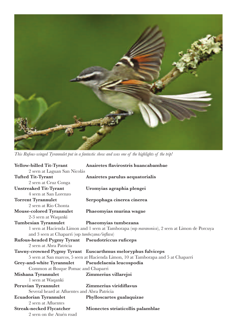

*This Rufous-winged Tyrannulet put in a fantastic show and was one of the highlights of the trip!*

| <b>Yellow-billed Tit-Tyrant</b>                    | Anairetes flavirostris huancabambae                                                           |
|----------------------------------------------------|-----------------------------------------------------------------------------------------------|
| 2 seen at Laguan San Nicolás                       |                                                                                               |
| <b>Tufted Tit-Tyrant</b>                           | Anairetes parulus aequatorialis                                                               |
| 2 seen at Cruz Conga                               |                                                                                               |
| <b>Unstreaked Tit-Tyrant</b>                       | Uromyias agraphia plengei                                                                     |
| 4 seen at San Lorenzo                              |                                                                                               |
| <b>Torrent Tyrannulet</b>                          | Serpophaga cinerea cinerea                                                                    |
| 2 seen at Rio Chonta                               |                                                                                               |
| <b>Mouse-colored Tyrannulet</b>                    | Phaeomyias murina wagae                                                                       |
| 2-3 seen at Waqanki                                |                                                                                               |
| <b>Tumbesian Tyrannulet</b>                        | Phaeomyias tumbezana                                                                          |
|                                                    | 1 seen at Hacienda Limon and 1 seen at Tamborapa (ssp maranonica), 2 seen at Limon de Porcuya |
| and 3 seen at Chaparri (ssp tumbezana/inflava)     |                                                                                               |
| Rufous-headed Pygmy Tyrant Pseudotriccus ruficeps  |                                                                                               |
| 2 seen at Abra Patricia                            |                                                                                               |
|                                                    | Tawny-crowned Pygmy Tyrant Euscarthmus meloryphus fulviceps                                   |
|                                                    | 5 seen at San marcos, 5 seen at Hacienda Limon, 10 at Tamborapa and 5 at Chaparri             |
| Grey-and-white Tyrannulet Pseudelaenia leucospodia |                                                                                               |
| Common at Bosque Pomac and Chaparri                |                                                                                               |
| Mishana Tyrannulet                                 | Zimmerius villarejoi                                                                          |
| 1 seen at Waqanki                                  |                                                                                               |
| Peruvian Tyrannulet                                | Zimmerius viridiflavus                                                                        |
| Several heard at Afluentes and Abra Patricia       |                                                                                               |
| <b>Ecuadorian Tyrannulet</b>                       | Phylloscartes gualaquizae                                                                     |
| 2 seen at Afluentes                                |                                                                                               |
| <b>Streak-necked Flycatcher</b>                    | Mionectes striaticollis palamblae                                                             |
| 2 seen on the Atuén road                           |                                                                                               |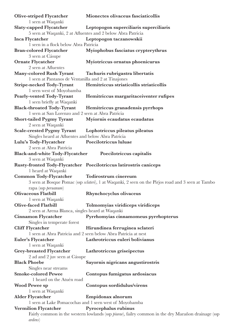| <b>Olive-striped Flycatcher</b>                     | Mionectes olivaceus fasciaticollis                                                                         |
|-----------------------------------------------------|------------------------------------------------------------------------------------------------------------|
| 1 seen at Waqanki                                   |                                                                                                            |
| Slaty-capped Flycatcher                             | Leptopogon superciliaris superciliaris                                                                     |
|                                                     | 5 seen at Waqanki, 2 at Afluentes and 2 below Abra Patricia                                                |
| Inca Flycatcher                                     | Leptopogon taczanowskii                                                                                    |
| 1 seen in a flock below Abra Patricia               |                                                                                                            |
| <b>Bran-colored Flycatcher</b>                      | Myiophobus fasciatus crypterythrus                                                                         |
| 3 seen at Cásupe                                    |                                                                                                            |
| <b>Ornate Flycatcher</b>                            | Myiotriccus ornatus phoenicurus                                                                            |
| 2 seen at Afluentes                                 |                                                                                                            |
| <b>Many-colored Rush Tyrant</b>                     | Tachuris rubrigastra libertatis                                                                            |
| 1 seen at Pantanos de Ventanilla and 2 at Tinajones |                                                                                                            |
| <b>Stripe-necked Tody-Tyrant</b>                    | Hemitriccus striaticollis striaticollis                                                                    |
| 1 seen west of Moyobamba                            |                                                                                                            |
| <b>Pearly-vented Tody-Tyrant</b>                    | Hemitriccus margaritaceiventer rufipes                                                                     |
| 1 seen briefly at Waqanki                           |                                                                                                            |
| <b>Black-throated Tody-Tyrant</b>                   |                                                                                                            |
| 1 seen at San Lorenzo and 2 seen at Abra Patricia   | Hemitriccus granadensis pyrrhops                                                                           |
|                                                     |                                                                                                            |
| <b>Short-tailed Pygmy Tyrant</b>                    | Myiornis ecaudatus ecaudatus                                                                               |
| 2 seen at Waqanki                                   |                                                                                                            |
| <b>Scale-crested Pygmy Tyrant</b>                   | Lophotriccus pileatus pileatus                                                                             |
| Singles heard at Afluentes and below Abra Patricia  |                                                                                                            |
| Lulu's Tody-Flycatcher                              | Poecilotriccus luluae                                                                                      |
| 2 seen at Abra Patricia                             |                                                                                                            |
| <b>Black-and-white Tody-Flycatcher</b>              | Poecilotriccus capitalis                                                                                   |
| 3 seen at Waqanki                                   |                                                                                                            |
|                                                     | Rusty-fronted Tody-Flycatcher Poecilotriccus latirostris caniceps                                          |
| 1 heard at Waqanki                                  |                                                                                                            |
| Common Tody-Flycatcher                              | Todirostrum cinereum                                                                                       |
|                                                     | 3 seen at Bosque Pomac (ssp sclateri), 1 at Waqanki, 2 seen on the Pirjos road and 3 seen at Tambo         |
| rapa (ssp peruanum)                                 |                                                                                                            |
| <b>Olivaceous Flatbill</b>                          | Rhynchocyclus olivaceus                                                                                    |
| 1 seen at Waqanki                                   |                                                                                                            |
| <b>Olive-faced Flatbill</b>                         | Tolmomyias viridiceps viridiceps                                                                           |
| 2 seen at Arena Blanca, singles heard at Waqanki    |                                                                                                            |
| <b>Cinnamon Flycatcher</b>                          | Pyrrhomyias cinnamomeus pyrrhopterus                                                                       |
| Singles in temperate forest                         |                                                                                                            |
| <b>Cliff Flycatcher</b>                             | Hirundinea ferruginea sclateri                                                                             |
|                                                     | 1 seen at Abra Patricia and 2 seen below Abra Patricia at nest                                             |
|                                                     | Lathrotriccus euleri bolivianus                                                                            |
| Euler's Flycatcher                                  |                                                                                                            |
| 1 seen at Waqanki                                   |                                                                                                            |
| <b>Grey-breasted Flycatcher</b>                     | Lathrotriccus griseipectus                                                                                 |
| 2 ad and 2 juv seen at Cásupe                       |                                                                                                            |
| <b>Black Phoebe</b>                                 | Sayornis nigricans angustirostris                                                                          |
| Singles near streams                                |                                                                                                            |
| <b>Smoke-colored Pewee</b>                          | Contopus fumigatus ardosiacus                                                                              |
| 1 heard on the Atuén road                           |                                                                                                            |
| <b>Wood Pewee sp</b>                                | Contopus sordidulus/virens                                                                                 |
| 1 seen at Waqanki                                   |                                                                                                            |
| <b>Alder Flycatcher</b>                             | Empidonax alnorum                                                                                          |
|                                                     | 1 seen at Lake Pomacochas and 1 seen west of Moyobamba                                                     |
| <b>Vermilion Flycatcher</b>                         | Pyrocephalus rubinus                                                                                       |
|                                                     | Fairly common in the western lowlands (ssp <i>piurae</i> ), failry common in the dry Marañon drainage (ssp |
| <i>ardens</i> )                                     |                                                                                                            |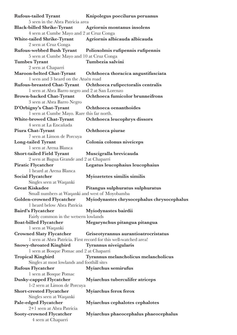| <b>Rufous-tailed Tyrant</b>                     | Knipolegus poecilurus peruanus                                    |
|-------------------------------------------------|-------------------------------------------------------------------|
| 5 seen in the Abra Patricia area                |                                                                   |
| <b>Black-billed Shrike-Tyrant</b>               | Agriornis montanus insolens                                       |
| 4 seen at Cumbe Mayo and 2 at Cruz Conga        |                                                                   |
| <b>White-tailed Shrike-Tyrant</b>               | Agriornis albicauda albicauda                                     |
| 2 seen at Cruz Conga                            |                                                                   |
| <b>Rufous-webbed Bush Tyrant</b>                | Polioxolmis rufipennis rufipennis                                 |
| 5 seen at Cumbe Mayo and 10 at Cruz Conga       |                                                                   |
| <b>Tumbes Tyrant</b>                            | Tumbezia salvini                                                  |
| 2 seen at Chaparri                              |                                                                   |
| Maroon-belted Chat-Tyrant                       | Ochthoeca thoracica angustifasciata                               |
| 1 seen and 3 heard on the Atuén road            |                                                                   |
| <b>Rufous-breasted Chat-Tyrant</b>              | Ochthoeca rufipectoralis centralis                                |
| 1 seen at Abra Barro negro and 2 at San Lorenzo |                                                                   |
| <b>Brown-backed Chat-Tyrant</b>                 | Ochthoeca fumicolor brunneifrons                                  |
| 3 seen at Abra Barro Negro                      |                                                                   |
| D'Orbigny's Chat-Tyrant                         | Ochthoeca oenanthoides                                            |
| 1 seen at Cumbe Mayo. Rare this far north.      |                                                                   |
| <b>White-browed Chat-Tyrant</b>                 | Ochthoeca leucophrys dissors                                      |
| 4 seen at La Encañada                           |                                                                   |
| Piura Chat-Tyrant                               | Ochthoeca piurae                                                  |
| 7 seen at Limon de Porcuya                      |                                                                   |
| <b>Long-tailed Tyrant</b>                       | Colonia colonus niveiceps                                         |
| 1 seen at Arena Blanca                          |                                                                   |
| <b>Short-tailed Field Tyrant</b>                | Muscigralla brevicauda                                            |
| 2 seen at Bagua Grande and 2 at Chaparri        |                                                                   |
| <b>Piratic Flycatcher</b>                       | Legatus leucophaius leucophaius                                   |
| 1 heard at Arena Blanca                         |                                                                   |
| <b>Social Flycatcher</b>                        | Myiozetetes similis similis                                       |
| Singles seen at Waqanki                         |                                                                   |
| <b>Great Kiskadee</b>                           | Pitangus sulphuratus sulphuratus                                  |
| Small numbers at Waqanki and west of Moyobamba  |                                                                   |
| Golden-crowned Flycatcher                       | Myiodynastes chrysocephalus chrysocephalus                        |
| 1 heard below Abra Patricia                     |                                                                   |
| Baird's Flycatcher                              | Myiodynastes bairdii                                              |
| Fairly common in the wetsern lowlands           |                                                                   |
| <b>Boat-billed Flycatcher</b>                   | Megarynchus pitangua pitangua                                     |
| 1 seen at Waqanki                               |                                                                   |
| <b>Crowned Slaty Flycatcher</b>                 | Griseotyrannus aurantioatrocristatus                              |
|                                                 | 1 seen at Abra Patricia. First record for this well-watched area! |
| <b>Snowy-throated Kingbird</b>                  | Tyrannus niveigularis                                             |
| 1 seen at Bosque Pomac and 2 at Chaparri        |                                                                   |
| <b>Tropical Kingbird</b>                        | Tyrannus melancholicus melancholicus                              |
| Singles at most lowlands and foothill sites     |                                                                   |
| <b>Rufous Flycatcher</b>                        | Myiarchus semirufus                                               |
| 1 seen at Bosque Pomac                          |                                                                   |
| <b>Dusky-capped Flycatcher</b>                  | Myiarchus tuberculifer atriceps                                   |
| 1-2 seen at Limon de Porcuya                    |                                                                   |
| <b>Short-crested Flycatcher</b>                 | <b>Myiarchus ferox ferox</b>                                      |
| Singles seen at Waqanki                         |                                                                   |
| Pale-edged Flycatcher                           | Myiarchus cephalotes cephalotes                                   |
| 2+1 seen at Abra Patricia                       |                                                                   |
| <b>Sooty-crowned Flycatcher</b>                 | Myiarchus phaeocephalus phaeocephalus                             |
| 4 seen at Chaparri                              |                                                                   |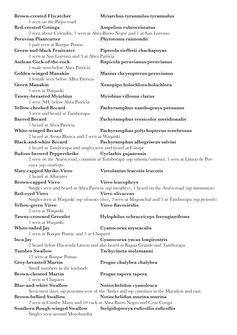| <b>Brown-crested Flycatcher</b>                           | Myiarchus tyrannulus tyrannulus                                                                                        |
|-----------------------------------------------------------|------------------------------------------------------------------------------------------------------------------------|
| 1 seen on the Pirjos road                                 |                                                                                                                        |
| <b>Red-crested Cotinga</b>                                | Ampelion rubrocristatus                                                                                                |
|                                                           | 2 seen above Celendin, 1 seen at Abra Barro Negor and 1 at San Lorenzo                                                 |
| <b>Peruvian Plantcutter</b>                               | Phytotoma raimondii                                                                                                    |
| 1 pair seen at Bosque Pomac                               |                                                                                                                        |
| <b>Green-and-black Fruiteater</b>                         | Pipreola riefferii chachapoyas                                                                                         |
| 1 seen at San Lorenzo and 3 at Abra Patricia              |                                                                                                                        |
| Andean Cock-of-the-rock                                   | Rupicola peruvianus peruvianus                                                                                         |
| 1 male seen below Abra Patricia                           |                                                                                                                        |
| <b>Golden-winged Manakin</b>                              | Masius chrysopterus peruvianus                                                                                         |
| 1 female seen below ABra Patricia                         |                                                                                                                        |
| <b>Green Manakin</b>                                      | Xenopipo holochlora holochlora                                                                                         |
| 1 seen at Waqanki                                         |                                                                                                                        |
| <b>Tawny-breasted Myiobius</b>                            | Myiobius villosus clarus                                                                                               |
| 1 seen (SH) below Abra Patricia                           |                                                                                                                        |
| Yellow-cheeked Becard                                     | Pachyramphus xanthogenys peruanus                                                                                      |
| 3 seen and heard at Tamborapa                             |                                                                                                                        |
| <b>Barred Becard</b>                                      | Pachyramphus versicolor meridionalis                                                                                   |
| 1 heard at Abra Patricia                                  |                                                                                                                        |
| <b>White-winged Becard</b>                                | Pachyramphus polychopterus tenebrosus                                                                                  |
| 2 heard at Arena Blanca and 2 seen at Waqanki             |                                                                                                                        |
| <b>Black-and-white Becard</b>                             | Pachyramphus albogriseus salvini                                                                                       |
| 1 heard at Tamborapa and singles seen and heard at Cásupe |                                                                                                                        |
| <b>Rufous-browed Peppershrike</b>                         | Cyclarhis gujanensis                                                                                                   |
|                                                           | 2 seen on the Atuén road, common at Tamborapa (ssp saturata/contrerasi, 1 seen at Limon de Por-                        |
| cuya (ssp virenticeps)                                    |                                                                                                                        |
| <b>Slaty-capped Shrike-Vireo</b>                          | Vireolanius leucotis leucotis                                                                                          |
| 1 heard at Afluentes                                      |                                                                                                                        |
| <b>Brown-capped Vireo</b>                                 | Vireo leucophrys                                                                                                       |
|                                                           | Singles seen and heard at Abra Patricia (ssp leucophrys), 1 heard on the Atuén road (ssp maranonicus)                  |
| <b>Red-eyed Vireo</b>                                     | Vireo olivaceus                                                                                                        |
|                                                           | Singles seen at Waqanki (ssp <i>olivaceus/chivi</i> ), 2 seen at Magunchal and 5 at Tamborapa (ssp <i>pectoralis</i> ) |
| Yellow-green Vireo                                        | Vireo flavoviridis                                                                                                     |
| 2 seen at Waqanki                                         |                                                                                                                        |
| <b>Tawny-crowned Greenlet</b>                             | Hylophilus ochraceiceps ferrugineifrons                                                                                |
| 1 seen at Waqanki                                         |                                                                                                                        |
| White-tailed Jay                                          | Cyanocorax mystacalis                                                                                                  |
| 1 seen at Bosque Pomac and 5 at Chaparri                  |                                                                                                                        |
| Inca Jay                                                  | Cyanocorax yncas longirostris                                                                                          |
|                                                           | 2 heard below Hacienda Limon and also heard at Bagua Grande and Tamborapa                                              |
| <b>Tumbes Swallow</b>                                     | Tachycineta stolzmanni                                                                                                 |
| 15 seen at Bosque Pomac                                   |                                                                                                                        |
| <b>Grey-breasted Martin</b>                               | Progne chalybea chalybea                                                                                               |
| Small numbers in the lowlands                             |                                                                                                                        |
| <b>Brown-chested Martin</b>                               | Progne tapera tapera                                                                                                   |
| 1 seen at Chaparri                                        |                                                                                                                        |
| <b>Blue-and-white Swallow</b>                             | Notiochelidon cyanoleuca                                                                                               |
|                                                           | Seen most days, ssp <i>peruviana</i> west of the Andes and ssp cyanoleuca in the Marañon and east.                     |
| <b>Brown-bellied Swallow</b>                              | Notiochelidon murina murina                                                                                            |
|                                                           | 2 seen at Cumbe Mayo and 10 each at Abra Barro Negro and Cruz Conga                                                    |
| <b>Southern Rough-winged Swallow</b>                      | Stelgidopteryx ruficollis ruficollis                                                                                   |
| Singles seen around Moyobamba                             |                                                                                                                        |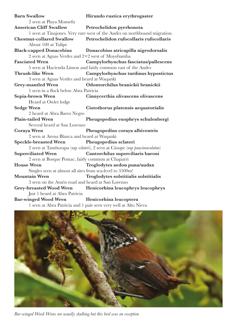| <b>Barn Swallow</b>                                       | Hirundo rustica erythrogaster                                             |
|-----------------------------------------------------------|---------------------------------------------------------------------------|
| 2 seen at Playa Monsefu                                   |                                                                           |
| <b>American Cliff Swallow</b>                             | Petrochelidon pyrrhonota                                                  |
|                                                           | 1 seen at Tinajones. Very rare west of the Andes on northbound migration. |
| <b>Chestnut-collared Swallow</b>                          | Petrochelidon rufocollaris rufocollaris                                   |
| About 100 at Tulipe                                       |                                                                           |
| <b>Black-capped Donacobius</b>                            | Donacobius atricapilla nigrodorsalis                                      |
| 2 seen at Aguas Verdes and 2+2 west of Moyobamba          |                                                                           |
| <b>Fasciated Wren</b>                                     | Campylorhynchus fasciatus/pallescens                                      |
|                                                           | 5 seen at Hacienda Limon and fairly common east of the Andes              |
| <b>Thrush-like Wren</b>                                   | Campylorhynchus turdinus hypostictus                                      |
| 3 seen at Aguas Verdes and heard at Waqanki               |                                                                           |
| <b>Grey-mantled Wren</b>                                  | Odontorchilus branickii branickii                                         |
| 1 seen in a flock below Abra Patricia                     |                                                                           |
| Sepia-brown Wren                                          | Cinnycerthia olivascens olivascens                                        |
| Heard at Owlet lodge                                      |                                                                           |
| <b>Sedge Wren</b>                                         | Cistothorus platensis aequatorialis                                       |
| 2 heard at Abra Barro Negro                               |                                                                           |
| <b>Plain-tailed Wren</b>                                  | Pheugopedius euophrys schulenbergi                                        |
| Several heard at San Lorenzo                              |                                                                           |
| Coraya Wren                                               | Pheugopedius coraya albiventris                                           |
| 2 seen at Arena Blanca and heard at Waqanki               |                                                                           |
| Speckle-breasted Wren Pheugopedius sclateri               |                                                                           |
|                                                           | 2 seen at Tamborapa (ssp sclateri), 2 seen at Cásupe (ssp paucimaculatus) |
| <b>Superciliated Wren</b>                                 | Cantorchilus superciliaris baroni                                         |
| 2 seen at Bosque Pomac, fairly common at Chaparri         |                                                                           |
| <b>House Wren</b>                                         | Troglodytes aedon puna/audax                                              |
| Singles seen at almost all sites from sea-level to 3500m! |                                                                           |
| <b>Mountain Wren</b>                                      | Troglodytes solstitialis solstitialis                                     |
| 3 seen on the Atuén road and heard at San Lorenzo         |                                                                           |
|                                                           | Grey-breasted Wood Wren Henicorhina leucophrys leucophrys                 |
| Just 1 heard at Abra Patricia                             |                                                                           |
| <b>Bar-winged Wood Wren</b>                               | Henicorhina leucoptera                                                    |
|                                                           | 1 seen at Abra Patricia and 1 pair seen very well at Alto Nieva           |



*Bar-winged Wood-Wrens are usually skulking but this bird was an exception*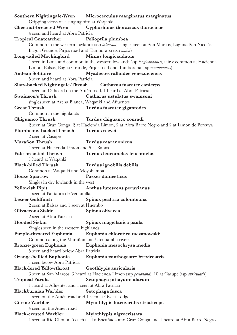|                                                     | Southern Nightingale-Wren Microcerculus marginatus marginatus                                    |
|-----------------------------------------------------|--------------------------------------------------------------------------------------------------|
| Gripping views of a singing bird at Waqanki         |                                                                                                  |
| <b>Chestnut-breasted Wren</b>                       | Cyphorhinus thoracicus thoracicus                                                                |
| 4 seen and heard at Abra Patricia                   |                                                                                                  |
| <b>Tropical Gnatcatcher</b>                         | Polioptila plumbea                                                                               |
|                                                     | Common in the western lowlands (ssp bilineata), singles seen at San Marcos, Laguna San Nicolás,  |
| Bagua Grande, Pirjos road and Tamborapa (ssp maior) |                                                                                                  |
| <b>Long-tailed Mockingbird</b>                      | Mimus longicaudatus                                                                              |
|                                                     | 1 seen in Lima and common in the western lowlands (ssp longicaudatus), fairly common at Hacienda |
|                                                     | Limon, Balsas, Bagua Grande, Pirjos road and Tamborapa (ssp maranonicus)                         |
| <b>Andean Solitaire</b>                             | Myadestes ralloides venezuelensis                                                                |
| 5 seen and heard at Abra Patricia                   |                                                                                                  |
|                                                     | Slaty-backed Nightingale-Thrush Catharus fuscater caniceps                                       |
|                                                     | 1 seen and 3 heard on the Atuén road, 1 heard at Abra Patricia                                   |
| <b>Swainson's Thrush</b>                            | Catharus ustulatus swainsoni                                                                     |
| singles seen at Arena Blanca, Waqanki and Afluentes |                                                                                                  |
| <b>Great Thrush</b>                                 | Turdus fuscater gigantodes                                                                       |
| Common in the highlands                             |                                                                                                  |
| <b>Chiguanco Thrush</b>                             | Turdus chiguanco conradi                                                                         |
|                                                     | 2 seen at Cruz Conga, 2 at Hacienda Limon, 2 at Abra Barro Negro and 2 at Limon de Porcuya       |
| <b>Plumbeous-backed Thrush</b>                      | Turdus reevei                                                                                    |
| 2 seen at Cásupe                                    |                                                                                                  |
| Marañon Thrush                                      | Turdus maranonicus                                                                               |
| 1 seen at Hacienda Limon and 5 at Balsas            |                                                                                                  |
| <b>Pale-breasted Thrush</b>                         | Turdus leucomelas leucomelas                                                                     |
| 1 heard at Waqanki                                  |                                                                                                  |
| <b>Black-billed Thrush</b>                          | Turdus ignobilis debilis                                                                         |
| Common at Waqanki and Moyobamba                     |                                                                                                  |
| <b>House Sparrow</b>                                | Passer domesticus                                                                                |
| Singles in dry lowlands in the west                 |                                                                                                  |
| <b>Yellowish Pipit</b>                              | Anthus lutescens peruvianus                                                                      |
| 1 seen at Pantanos de Ventanilla                    |                                                                                                  |
| <b>Lesser Goldfinch</b>                             | Spinus psaltria colombiana                                                                       |
| 2 seen at Balsas and 1 seen at Huembo               |                                                                                                  |
| <b>Olivaceous Siskin</b>                            | Spinus olivacea                                                                                  |
| 2 seen at Abra Patricia                             |                                                                                                  |
| <b>Hooded Siskin</b>                                | Spinus magellanica paula                                                                         |
| Singles seen in the western highlands               |                                                                                                  |
| <b>Purple-throated Euphonia</b>                     | Euphonia chlorotica taczanowskii                                                                 |
| Common along the Marañon and Utcubamba rivers       |                                                                                                  |
| Bronze-green Euphonia                               | Euphonia mesochrysa media                                                                        |
| 5 seen and heard below Abra Patricia                |                                                                                                  |
| Orange-bellied Euphonia                             | Euphonia xanthogaster brevirostris                                                               |
| 1 seen below Abra Patricia                          |                                                                                                  |
| <b>Black-lored Yellowthroat</b>                     | <b>Geothlypis auricularis</b>                                                                    |
|                                                     | 3 seen at San Marcos, 3 heard at Hacienda Limon (ssp perwiana), 10 at Cásupe (ssp auricularis)   |
| <b>Tropical Parula</b>                              | Setophaga pitiayumi alarum                                                                       |
| 1 heard at Afluentes and 1 seen at Abra Patricia    |                                                                                                  |
| <b>Blackburnian Warbler</b>                         | Setophaga fusca                                                                                  |
| 4 seen on the Atuén road and 1 seen at Owlet Lodge  |                                                                                                  |
| <b>Citrine Warbler</b>                              | Myiothlypis luteoviridis striaticeps                                                             |
| 4 seen on the Atuén road                            |                                                                                                  |
| <b>Black-crested Warbler</b>                        | Myiothlypis nigrocristata                                                                        |
|                                                     | 1 seen at Rio Chonta, 5 each at La Encañada and Cruz Conga and 1 heard at Abra Barro Negro       |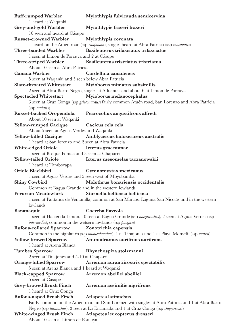| <b>Buff-rumped Warbler</b>                                           | Myiothlypis fulvicauda semicervina                                                                |
|----------------------------------------------------------------------|---------------------------------------------------------------------------------------------------|
| 1 heard at Waqanki                                                   |                                                                                                   |
| Grey-and-gold Warbler                                                | Myiothlypis fraseri fraseri                                                                       |
| 10 seen and heard at Cásupe                                          |                                                                                                   |
| <b>Russet-crowned Warbler</b>                                        | Myiothlypis coronata                                                                              |
|                                                                      | 1 heard on the Atuén road (ssp chapmani), singles heard at Abra Patricia (ssp <i>inaequalis</i> ) |
| <b>Three-banded Warbler</b>                                          | Basileuterus trifasciatus trifasciatus                                                            |
| 1 seen at Limon de Porcuya and 2 at Cásupe                           |                                                                                                   |
| <b>Three-striped Warbler</b>                                         | Basileuterus tristriatus tristriatus                                                              |
| About 10 seen at Abra Patricia                                       |                                                                                                   |
| Canada Warbler                                                       | Cardellina canadensis                                                                             |
| 5 seen at Waqanki and 5 seen below Abra Patricia                     |                                                                                                   |
| <b>Slate-throated Whitestart</b>                                     | Myioborus miniatus subsimilis                                                                     |
|                                                                      | 2 seen at Abra Barro Negro, singles at Afluentes and about 6 at Limon de Porcuya                  |
| <b>Spectacled Whitestart</b>                                         | Myioborus melanocephalus                                                                          |
|                                                                      | 3 seen at Cruz Conga (ssp griseonuchus) fairly common Atuén road, San Lorenzo and Abra Patricia   |
| (ssp malaris)                                                        |                                                                                                   |
|                                                                      |                                                                                                   |
| <b>Russet-backed Oropendola</b>                                      | Psarocolius angustifrons alfredi                                                                  |
| About 10 seen at Waqanki                                             |                                                                                                   |
| <b>Yellow-rumped Cacique</b>                                         | Cacicus cela cela                                                                                 |
| About 5 seen at Aguas Verdes and Waqanki                             |                                                                                                   |
| <b>Yellow-billed Cacique</b>                                         | Amblycercus holosericeus australis                                                                |
| 1 heard at San lorenzo and 2 seen at Abra Patricia                   |                                                                                                   |
| White-edged Oriole                                                   | Icterus graceannae                                                                                |
| 1 seen at Bosque Pomac and 3 seen at Chaparri                        |                                                                                                   |
| <b>Yellow-tailed Oriole</b><br>1 heard at Tamborapa                  | Icterus mesomelas taczanowskii                                                                    |
| Oriole Blackbird                                                     | Gymnomystax mexicanus                                                                             |
| 1 seen at Aguas Verdes and 5 seen west of Moyobamba                  |                                                                                                   |
| <b>Shiny Cowbird</b>                                                 | Molothrus bonariensis occidentalis                                                                |
| Common at Bagua Grande and in the western lowlands                   |                                                                                                   |
| Peruvian Meadowlark Sturnella bellicosa bellicosa                    |                                                                                                   |
|                                                                      | 1 seen at Pantanos de Ventanilla, common at San Marcos, Laguna San Nicolás and in the western     |
| lowlands                                                             |                                                                                                   |
| Bananaquit                                                           | Coereba flaveola                                                                                  |
|                                                                      | 1 seen at Hacienda Limon, 10 seen at Bagua Grande (ssp magnirostris), 2 seen at Aguas Verdes (ssp |
| <i>intermedia</i> ), common in the wetsern lowlands (ssp pacifica)   |                                                                                                   |
| <b>Rufous-collared Sparrow</b>                                       | Zonotrichia capensis                                                                              |
|                                                                      | Common in the highlands (ssp huancabambae), 1 at Tinajones and 1 at Playa Monsefu (ssp markli)    |
| <b>Yellow-browed Sparrow</b>                                         | Ammodramus aurifrons aurifrons                                                                    |
| 1 heard at Arena Blanca                                              |                                                                                                   |
| <b>Tumbes Sparrow</b>                                                | Rhynchospiza stolzmanni                                                                           |
| 2 seen at Tinajones and 5-10 at Chaparri                             |                                                                                                   |
| <b>Orange-billed Sparrow</b>                                         | Arremon aurantiirostris spectabilis                                                               |
| 5 seen at Arena Blanca and 1 heard at Waqanki                        |                                                                                                   |
| <b>Black-capped Sparrow</b>                                          | Arremon abeillei abeillei                                                                         |
| 5 seen at Cásupe                                                     |                                                                                                   |
| <b>Grey-browed Brush Finch</b>                                       |                                                                                                   |
|                                                                      |                                                                                                   |
|                                                                      | Arremon assimilis nigrifrons                                                                      |
| 1 heard at Cruz Conga                                                |                                                                                                   |
| <b>Rufous-naped Brush Finch</b>                                      | <b>Atlapetes latinuchus</b>                                                                       |
|                                                                      | Fairly common on the Atuén road and San Lorenzo with singles at Abra Patricia and 1 at Abra Barro |
|                                                                      | Negro (ssp latinuchus), 3 seen at La Encañada and 1 at Cruz Conga (ssp chugurensis)               |
| <b>White-winged Brush Finch</b><br>About 10 seen at Limon de Porcuya | Atlapetes leucopterus dresseri                                                                    |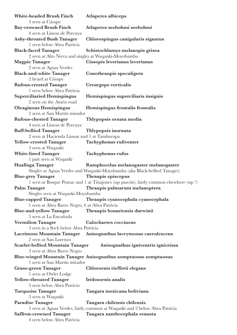| <b>White-headed Brush Finch</b><br>3 seen at Cásupe                                                      | <b>Atlapetes albiceps</b>                                                                                          |
|----------------------------------------------------------------------------------------------------------|--------------------------------------------------------------------------------------------------------------------|
| <b>Bay-crowned Brush Finch</b>                                                                           | Atlapetes seebohmi seebohmi                                                                                        |
| 4 seen at Limon de Porcuya<br><b>Ashy-throated Bush Tanager</b><br>1 seen below Abra Patricia            | Chlorospingus canigularis signatus                                                                                 |
| <b>Black-faced Tanager</b>                                                                               | Schistochlamys melanopis grisea                                                                                    |
| 2 seen at Alto Nieva and singles at Waqanki-Moyobamba<br><b>Magpie Tanager</b><br>2 seen at Aguas Verdes | Cissopis leverianus leverianus                                                                                     |
| <b>Black-and-white Tanager</b><br>2 heard at Cásupe                                                      | Conothraupis speculigera                                                                                           |
| <b>Rufous-crested Tanager</b>                                                                            | Creurgops verticalis                                                                                               |
| 1 seen below Abra Patricia<br><b>Superciliaried Hemispingus</b><br>2 seen on the Atuén road              | Hemispingus superciliaris insignis                                                                                 |
| <b>Oleaginous Hemispingus</b><br>2 seen at San Martín mirador                                            | Hemispingus frontalis frontalis                                                                                    |
| <b>Rufous-chested Tanager</b><br>4 seen at Limon de Porcuya                                              | Thlypopsis ornata media                                                                                            |
| <b>Buff-bellied Tanager</b><br>2 seen at Hacienda Limon and 1 at Tamborapa                               | Thlypopsis inornata                                                                                                |
| <b>Yellow-crested Tanager</b><br>3 seen at Waqanki                                                       | Tachyphonus rufiventer                                                                                             |
| <b>White-lined Tanager</b><br>1 pair seen at Waqanki                                                     | Tachyphonus rufus                                                                                                  |
| Huallaga Tanager                                                                                         | Ramphocelus melanogaster melanogaster<br>Singles at Aguas Verdes and Waqanki-Moyobamba (aka Black-bellied Tanager) |
| <b>Blue-grey Tanager</b>                                                                                 | Thraupis episcopus                                                                                                 |
|                                                                                                          | 1 seen at Bosque Pomac and 1 at Tinajones (ssp <i>quaesita</i> ), fairly common elsewhere (ssp ?)                  |
| Palm Tanager                                                                                             | Thraupis palmarum melanoptera                                                                                      |
| Singles seen at Waqanki-Moyobamba                                                                        |                                                                                                                    |
| <b>Blue-capped Tanager</b>                                                                               | Thraupis cyanocephala cyanocephala                                                                                 |
| 1 seen at Abra Barro Negro, 6 at Abra Patricia                                                           |                                                                                                                    |
| <b>Blue-and-yellow Tanager</b><br>5 seen at La Encañada                                                  | Thraupis bonariensis darwinii                                                                                      |
| <b>Vermilion Tanager</b>                                                                                 | <b>Calochaetes coccineus</b>                                                                                       |
| 3 seen in a flock below Abra Patricia                                                                    |                                                                                                                    |
|                                                                                                          | Lacrimose Mountain Tanager Anisognathus lacrymosus caerulescens                                                    |
| 2 seen at San Lorenzo                                                                                    |                                                                                                                    |
| <b>Scarlet-bellied Mountain Tanager</b>                                                                  | Anisognathus igniventris ignicrissa                                                                                |
| 3 seen at Abra Barro Negro                                                                               |                                                                                                                    |
| 1 seen at San Martín mirador                                                                             | Blue-winged Mountain Tanager Anisognathus somptuosus somptuosus                                                    |
| <b>Grass-green Tanager</b>                                                                               |                                                                                                                    |
| 1 seen at Owlet Lodge                                                                                    | Chlorornis riefferii elegans                                                                                       |
| <b>Yellow-throated Tanager</b><br>3 seen below Abra Patricia                                             | Iridosornis analis                                                                                                 |
| Turquoise Tanager<br>3 seen at Waqanki                                                                   | Tangara mexicana boliviana                                                                                         |
| <b>Paradise Tanager</b>                                                                                  | Tangara chilensis chilensis                                                                                        |
|                                                                                                          | 5 seen at Aguas Verdes, fairly common at Waqanki and 2 below Abra Patricia                                         |
| <b>Saffron-crowned Tanager</b><br>4 seen below Abra Patricia                                             | Tangara xanthocephala venusta                                                                                      |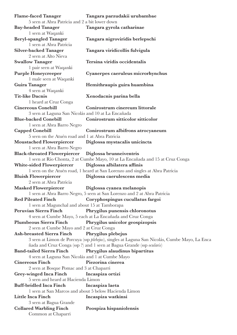| <b>Flame-faced Tanager</b>                            | Tangara parzudakii urubambae                                                                          |
|-------------------------------------------------------|-------------------------------------------------------------------------------------------------------|
| 5 seen at Abra Patricia and 2 a bit lower down        |                                                                                                       |
| <b>Bay-headed Tanager</b>                             | Tangara gyrola catharinae                                                                             |
| 1 seen at Waqanki                                     |                                                                                                       |
| <b>Beryl-spangled Tanager</b>                         | Tangara nigroviridis berlepschi                                                                       |
| 1 seen at Abra Patricia                               |                                                                                                       |
| <b>Silver-backed Tanager</b>                          | Tangara viridicollis fulvigula                                                                        |
| 2 seen at Alto Nieva                                  |                                                                                                       |
| <b>Swallow Tanager</b>                                | Tersina viridis occidentalis                                                                          |
| 1 pair seen at Waqanki                                |                                                                                                       |
| <b>Purple Honeycreeper</b>                            | Cyanerpes caeruleus microrhynchus                                                                     |
| 1 male seen at Waqanki                                |                                                                                                       |
| Guira Tanager                                         | Hemithraupis guira huambina                                                                           |
| 4 seen at Waqanki                                     |                                                                                                       |
| <b>Tit-like Dacnis</b>                                | Xenodacnis parina bella                                                                               |
| 1 heard at Cruz Conga                                 |                                                                                                       |
| <b>Cinereous Conebill</b>                             | Conirostrum cinereum littorale                                                                        |
| 3 seen at Laguna San Nicolás and 10 at La Encañada    |                                                                                                       |
| <b>Blue-backed Conebill</b>                           | Conirostrum sitticolor sitticolor                                                                     |
| 1 seen at Abra Barro Negro                            |                                                                                                       |
| <b>Capped Conebill</b>                                | Conirostrum albifrons atrocyaneum                                                                     |
| 5 seen on the Atuén road and 1 at Abra Patricia       |                                                                                                       |
| <b>Moustached Flowerpiercer</b>                       | Diglossa mystacalis unicincta                                                                         |
| 1 seen at Abra Barro Negro                            |                                                                                                       |
| <b>Black-throated Flowerpiercer</b>                   | Diglossa brunneiventris                                                                               |
|                                                       | 1 seen at Rio Chonta, 2 at Cumbe Mayo, 10 at La Encañada and 15 at Cruz Conga                         |
| <b>White-sided Flowerpiercer</b>                      | Diglossa albilatera affinis                                                                           |
|                                                       | 1 seen on the Atuén road, 1 heard at San Lorenzo and singles at Abra Patricia                         |
| <b>Bluish Flowerpiercer</b>                           | Diglossa caerulescens media                                                                           |
| 2 seen at Abra Patricia                               |                                                                                                       |
| <b>Masked Flowerpiercer</b>                           | Diglossa cyanea melanopis<br>1 seen at Abra Barro Negro, 5 seen at San Lorenzo and 2 at Abra Patricia |
| <b>Red Pileated Finch</b>                             |                                                                                                       |
| 1 seen at Magunchal and about 15 at Tamborapa         | Coryphospingus cucullatus fargoi                                                                      |
| Peruvian Sierra Finch                                 | Phrygilus punensis chloronotus                                                                        |
|                                                       | 4 seen at Cumbe Mayo, 5 each at La Encañada and Cruz Conga                                            |
| Plumbeous Sierra Finch                                | Phrygilus unicolor geospizopsis                                                                       |
| 2 seen at Cumbe Mayo and 2 at Cruz Conga              |                                                                                                       |
| <b>Ash-breasted Sierra Finch</b>                      | Phrygilus plebejus                                                                                    |
|                                                       | 3 seen at Limon de Porcuya (ssp <i>plebejus</i> ), singles at Laguna San Nicolás, Cumbe Mayo, La Enca |
|                                                       | ñada and Cruz Conga (ssp?) and 1 seen at Bagua Grande (ssp ocularis)                                  |
| <b>Band-tailed Sierra Finch</b>                       | Phrygilus alaudinus bipartitus                                                                        |
| 4 seen at Laguna San Nicolás and 1 at Cumbe Mayo      |                                                                                                       |
| <b>Cinereous Finch</b>                                | Piezorina cinerea                                                                                     |
| 2 seen at Bosque Pomac and 3 at Chaparri              |                                                                                                       |
| Grey-winged Inca Finch                                | Incaspiza ortizi                                                                                      |
| 5 seen and heard at Hacienda Limon                    |                                                                                                       |
| <b>Buff-bridled Inca Finch</b>                        | Incaspiza laeta                                                                                       |
| 1 seen at San Marcos and about 5 below Hacienda Limon |                                                                                                       |
| <b>Little Inca Finch</b>                              | Incaspiza watkinsi                                                                                    |
| 3 seen at Bagua Grande                                |                                                                                                       |
| <b>Collared Warbling Finch</b>                        | Poospiza hispaniolensis                                                                               |
| Common at Chaparri                                    |                                                                                                       |
|                                                       |                                                                                                       |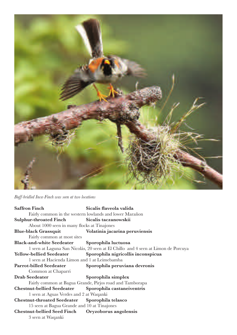

*Buff-bridled Inca-Finch was seen at two locations*

| <b>Saffron Finch</b>                                     | Sicalis flaveola valida                                                           |
|----------------------------------------------------------|-----------------------------------------------------------------------------------|
|                                                          | Fairly common in the western lowlands and lower Marañon                           |
| <b>Sulphur-throated Finch</b>                            | Sicalis taczanowskii                                                              |
| About 1000 seen in many flocks at Tinajones              |                                                                                   |
| <b>Blue-black Grassquit</b>                              | Volatinia jacarina peruviensis                                                    |
| Fairly common at most sites                              |                                                                                   |
| Black-and-white Seedeater Sporophila luctuosa            |                                                                                   |
|                                                          | 1 seen at Laguna San Nicolás, 20 seen at El Chillo and 4 seen at Limon de Porcuya |
| <b>Yellow-bellied Seedeater</b>                          | Sporophila nigricollis inconspicua                                                |
| 1 seen at Hacienda Limon and 1 at Leimebamba             |                                                                                   |
| Parrot-billed Seedeater                                  | Sporophila peruviana devronis                                                     |
| Common at Chaparri                                       |                                                                                   |
| Drab Seedeater                                           | Sporophila simplex                                                                |
| Fairly common at Bagua Grande, Pirjos road and Tamborapa |                                                                                   |
| Chestnut-bellied Seedeater Sporophila castaneiventris    |                                                                                   |
| 1 seen at Aguas Verdes and 2 at Waqanki                  |                                                                                   |
| Chestnut-throated Seedeater Sporophila telasco           |                                                                                   |
| 15 seen at Bagua Grande and 10 at Tinajones              |                                                                                   |
| Chestnut-bellied Seed Finch Oryzoborus angolensis        |                                                                                   |
|                                                          |                                                                                   |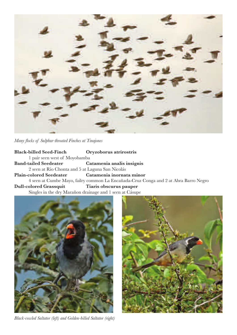

*Many focks of Sulphur-throated Finches at Tinajones*

**Black-billed Seed-Finch Oryzoborus atrirostris** 1 pair seen west of Moyobamba **Band-tailed Seedeater Catamenia analis insignis** 2 seen at Rio Chonta and 5 at Laguna San Nicolás **Plain-colored Seedeater Catamenia inornata minor** 4 seen at Cumbe Mayo, failry common La Encañada-Cruz Conga and 2 at Abra Barro Negro **Dull-colored Grassquit Tiaris obscurus pauper** Singles in the dry Marañon drainage and 1 seen at Cásupe



*Black-cowled Saltator (left) and Golden-billed Saltator (right)*

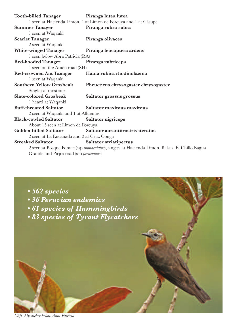| <b>Tooth-billed Tanager</b>                                                                          | Piranga lutea lutea                  |
|------------------------------------------------------------------------------------------------------|--------------------------------------|
| 1 seen at Hacienda Limon, 1 at Limon de Porcuya and 1 at Cásupe                                      |                                      |
| <b>Summer Tanager</b>                                                                                | Piranga rubra rubra                  |
| 1 seen at Waqanki                                                                                    |                                      |
| <b>Scarlet Tanager</b>                                                                               | Piranga olivacea                     |
| 2 seen at Waqanki                                                                                    |                                      |
| <b>White-winged Tanager</b>                                                                          | Piranga leucoptera ardens            |
| 1 seen below Abra Patricia (RA)                                                                      |                                      |
| <b>Red-hooded Tanager</b>                                                                            | Piranga rubriceps                    |
| 1 seen on the Atuén road (SH)                                                                        |                                      |
| <b>Red-crowned Ant Tanager</b>                                                                       | Habia rubica rhodinolaema            |
| 1 seen at Waqanki                                                                                    |                                      |
| <b>Southern Yellow Grosbeak</b>                                                                      | Pheucticus chrysogaster chrysogaster |
| Singles at most sites                                                                                |                                      |
| <b>Slate-colored Grosbeak</b>                                                                        | Saltator grossus grossus             |
| 1 heard at Waqanki                                                                                   |                                      |
| <b>Buff-throated Saltator</b>                                                                        | Saltator maximus maximus             |
| 2 seen at Waqanki and 1 at Afluentes                                                                 |                                      |
| <b>Black-cowled Saltator</b>                                                                         | Saltator nigriceps                   |
| About 15 seen at Limon de Porcuya                                                                    |                                      |
| Golden-billed Saltator                                                                               | Saltator aurantiirostris iteratus    |
| 2 seen at La Encañada and 2 at Cruz Conga                                                            |                                      |
| <b>Streaked Saltator</b>                                                                             | <b>Saltator striatipectus</b>        |
| 2 seen at Bosque Pomac (ssp <i>immaculatus</i> ), singles at Hacienda Limon, Balsas, El Chillo Bagua |                                      |
| Grande and Pirjos road (ssp peruvianus)                                                              |                                      |



*Cliff Flycatcher below Abra Patricia*